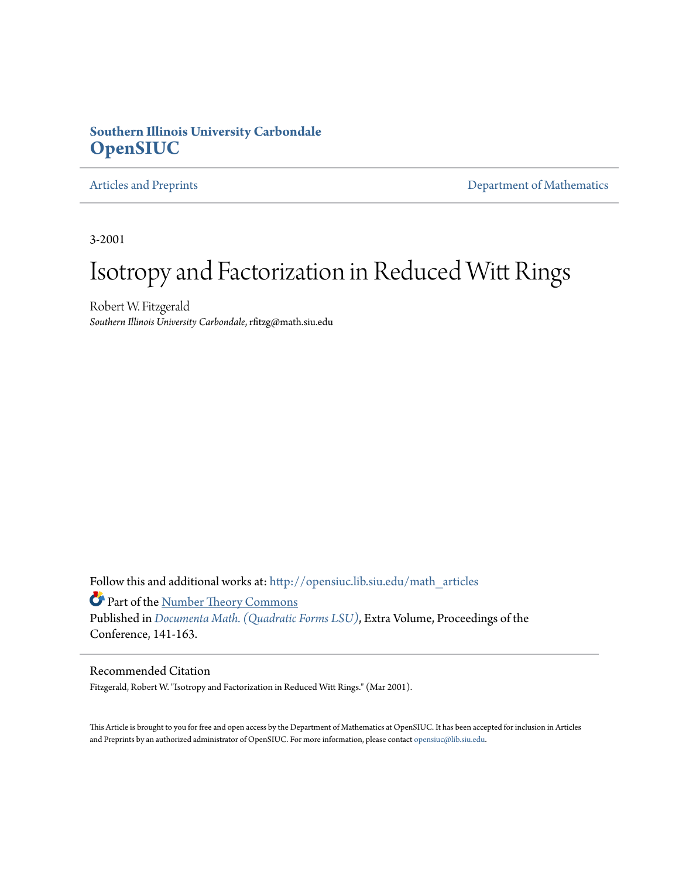# **Southern Illinois University Carbondale [OpenSIUC](http://opensiuc.lib.siu.edu?utm_source=opensiuc.lib.siu.edu%2Fmath_articles%2F33&utm_medium=PDF&utm_campaign=PDFCoverPages)**

[Articles and Preprints](http://opensiuc.lib.siu.edu/math_articles?utm_source=opensiuc.lib.siu.edu%2Fmath_articles%2F33&utm_medium=PDF&utm_campaign=PDFCoverPages) **[Department of Mathematics](http://opensiuc.lib.siu.edu/math?utm_source=opensiuc.lib.siu.edu%2Fmath_articles%2F33&utm_medium=PDF&utm_campaign=PDFCoverPages)** 

3-2001

# Isotropy and Factorization in Reduced Witt Rings

Robert W. Fitzgerald *Southern Illinois University Carbondale*, rfitzg@math.siu.edu

Follow this and additional works at: [http://opensiuc.lib.siu.edu/math\\_articles](http://opensiuc.lib.siu.edu/math_articles?utm_source=opensiuc.lib.siu.edu%2Fmath_articles%2F33&utm_medium=PDF&utm_campaign=PDFCoverPages)

Part of the [Number Theory Commons](http://network.bepress.com/hgg/discipline/183?utm_source=opensiuc.lib.siu.edu%2Fmath_articles%2F33&utm_medium=PDF&utm_campaign=PDFCoverPages)

Published in *[Documenta Math. \(Quadratic Forms LSU\)](http://www.math.uiuc.edu/documenta/lsu/vol-lsu-eng.html)*, Extra Volume, Proceedings of the Conference, 141-163.

## Recommended Citation

Fitzgerald, Robert W. "Isotropy and Factorization in Reduced Witt Rings." (Mar 2001).

This Article is brought to you for free and open access by the Department of Mathematics at OpenSIUC. It has been accepted for inclusion in Articles and Preprints by an authorized administrator of OpenSIUC. For more information, please contact [opensiuc@lib.siu.edu](mailto:opensiuc@lib.siu.edu).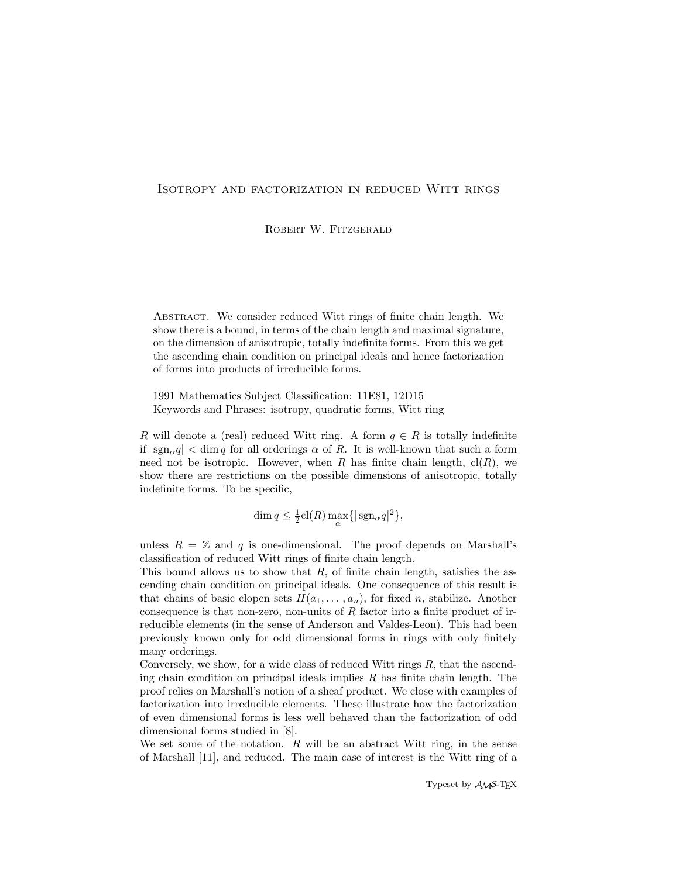### Isotropy and factorization in reduced Witt rings

ROBERT W. FITZGERALD

ABSTRACT. We consider reduced Witt rings of finite chain length. We show there is a bound, in terms of the chain length and maximal signature, on the dimension of anisotropic, totally indefinite forms. From this we get the ascending chain condition on principal ideals and hence factorization of forms into products of irreducible forms.

1991 Mathematics Subject Classification: 11E81, 12D15 Keywords and Phrases: isotropy, quadratic forms, Witt ring

R will denote a (real) reduced Witt ring. A form  $q \in R$  is totally indefinite if  $|\text{sgn}_{\alpha}q| < \dim q$  for all orderings  $\alpha$  of R. It is well-known that such a form need not be isotropic. However, when R has finite chain length,  $\text{cl}(R)$ , we show there are restrictions on the possible dimensions of anisotropic, totally indefinite forms. To be specific,

$$
\dim q \le \frac{1}{2}cl(R)\max_{\alpha} \{|\operatorname{sgn}_{\alpha} q|^2\},\
$$

unless  $R = \mathbb{Z}$  and q is one-dimensional. The proof depends on Marshall's classification of reduced Witt rings of finite chain length.

This bound allows us to show that  $R$ , of finite chain length, satisfies the ascending chain condition on principal ideals. One consequence of this result is that chains of basic clopen sets  $H(a_1, \ldots, a_n)$ , for fixed n, stabilize. Another consequence is that non-zero, non-units of  $R$  factor into a finite product of irreducible elements (in the sense of Anderson and Valdes-Leon). This had been previously known only for odd dimensional forms in rings with only finitely many orderings.

Conversely, we show, for a wide class of reduced Witt rings  $R$ , that the ascending chain condition on principal ideals implies  $R$  has finite chain length. The proof relies on Marshall's notion of a sheaf product. We close with examples of factorization into irreducible elements. These illustrate how the factorization of even dimensional forms is less well behaved than the factorization of odd dimensional forms studied in [8].

We set some of the notation.  $R$  will be an abstract Witt ring, in the sense of Marshall [11], and reduced. The main case of interest is the Witt ring of a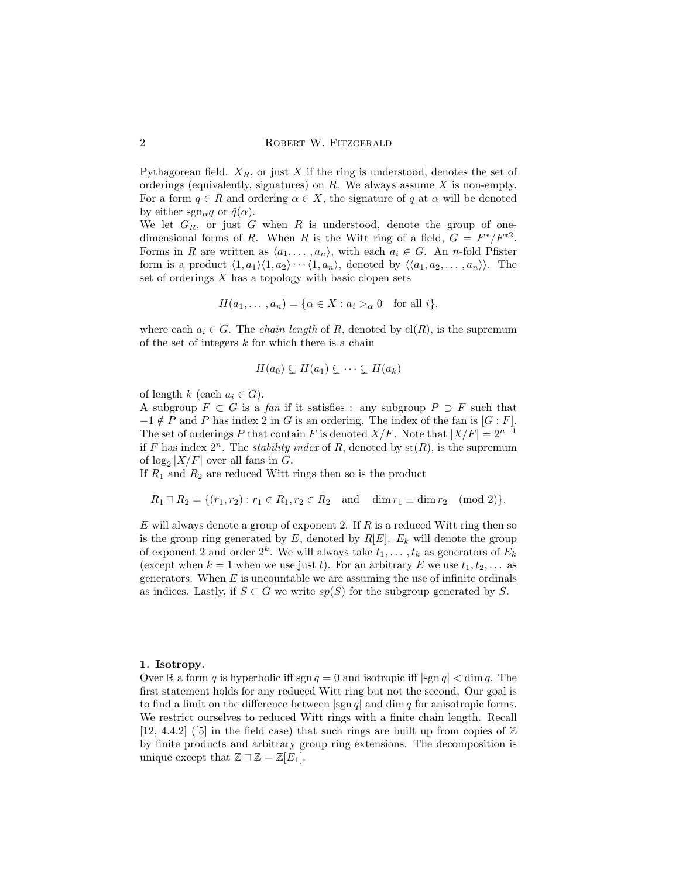Pythagorean field.  $X_R$ , or just X if the ring is understood, denotes the set of orderings (equivalently, signatures) on  $R$ . We always assume  $X$  is non-empty. For a form  $q \in R$  and ordering  $\alpha \in X$ , the signature of q at  $\alpha$  will be denoted by either sgn<sub>α</sub>q or  $\hat{q}(\alpha)$ .

We let  $G_R$ , or just G when R is understood, denote the group of onedimensional forms of R. When R is the Witt ring of a field,  $G = F^*/F^{*2}$ . Forms in R are written as  $\langle a_1, \ldots, a_n \rangle$ , with each  $a_i \in G$ . An n-fold Pfister form is a product  $\langle 1, a_1 \rangle \langle 1, a_2 \rangle \cdots \langle 1, a_n \rangle$ , denoted by  $\langle \langle a_1, a_2, \ldots, a_n \rangle \rangle$ . The set of orderings  $X$  has a topology with basic clopen sets

$$
H(a_1, \ldots, a_n) = \{ \alpha \in X : a_i >_\alpha 0 \text{ for all } i \},
$$

where each  $a_i \in G$ . The *chain length* of R, denoted by  $\text{cl}(R)$ , is the supremum of the set of integers  $k$  for which there is a chain

$$
H(a_0) \subsetneq H(a_1) \subsetneq \cdots \subsetneq H(a_k)
$$

of length k (each  $a_i \in G$ ).

A subgroup  $F \subset G$  is a fan if it satisfies : any subgroup  $P \supset F$  such that  $-1 \notin P$  and P has index 2 in G is an ordering. The index of the fan is [G : F]. The set of orderings P that contain F is denoted  $X/F$ . Note that  $|X/F| = 2^{n-1}$ if F has index  $2^n$ . The *stability index* of R, denoted by  $st(R)$ , is the supremum of  $\log_2 |X/F|$  over all fans in G.

If  $R_1$  and  $R_2$  are reduced Witt rings then so is the product

$$
R_1 \sqcap R_2 = \{(r_1, r_2) : r_1 \in R_1, r_2 \in R_2 \text{ and } \dim r_1 \equiv \dim r_2 \pmod{2}\}.
$$

E will always denote a group of exponent 2. If  $R$  is a reduced Witt ring then so is the group ring generated by  $E$ , denoted by  $R[E]$ .  $E_k$  will denote the group of exponent 2 and order  $2^k$ . We will always take  $t_1, \ldots, t_k$  as generators of  $E_k$ (except when  $k = 1$  when we use just t). For an arbitrary E we use  $t_1, t_2, \ldots$  as generators. When  $E$  is uncountable we are assuming the use of infinite ordinals as indices. Lastly, if  $S \subset G$  we write  $sp(S)$  for the subgroup generated by S.

#### 1. Isotropy.

Over  $\mathbb R$  a form q is hyperbolic iff sgn  $q = 0$  and isotropic iff  $|\text{sgn } q| < \dim q$ . The first statement holds for any reduced Witt ring but not the second. Our goal is to find a limit on the difference between  $|\text{sgn } q|$  and dim q for anisotropic forms. We restrict ourselves to reduced Witt rings with a finite chain length. Recall [12, 4.4.2] ([5] in the field case) that such rings are built up from copies of  $\mathbb Z$ by finite products and arbitrary group ring extensions. The decomposition is unique except that  $\mathbb{Z} \cap \mathbb{Z} = \mathbb{Z}[E_1]$ .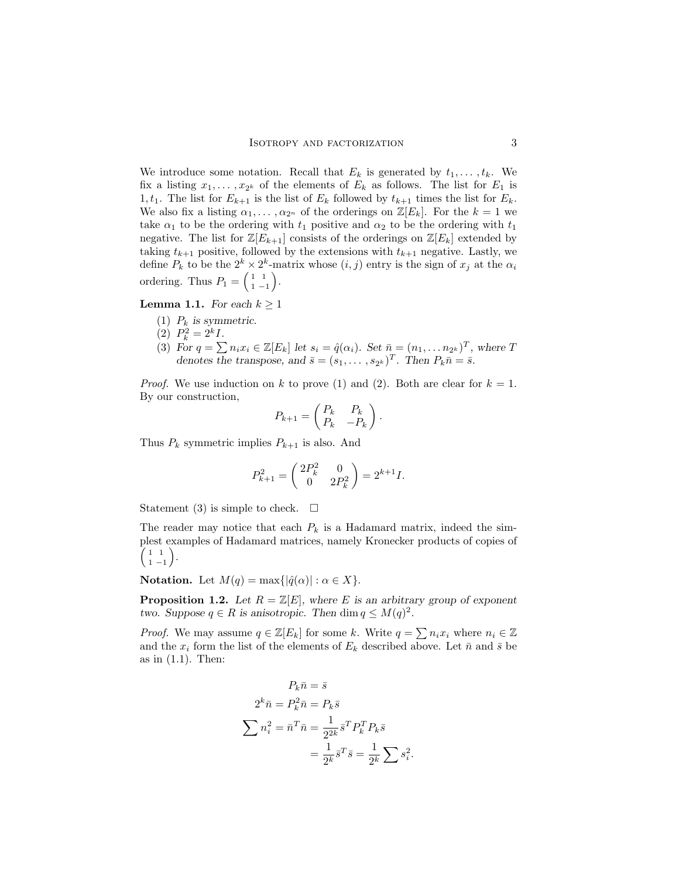We introduce some notation. Recall that  $E_k$  is generated by  $t_1, \ldots, t_k$ . We fix a listing  $x_1, \ldots, x_{2^k}$  of the elements of  $E_k$  as follows. The list for  $E_1$  is 1,  $t_1$ . The list for  $E_{k+1}$  is the list of  $E_k$  followed by  $t_{k+1}$  times the list for  $E_k$ . We also fix a listing  $\alpha_1, \ldots, \alpha_{2^n}$  of the orderings on  $\mathbb{Z}[E_k]$ . For the  $k = 1$  we take  $\alpha_1$  to be the ordering with  $t_1$  positive and  $\alpha_2$  to be the ordering with  $t_1$ negative. The list for  $\mathbb{Z}[E_{k+1}]$  consists of the orderings on  $\mathbb{Z}[E_k]$  extended by taking  $t_{k+1}$  positive, followed by the extensions with  $t_{k+1}$  negative. Lastly, we define  $P_k$  to be the  $2^k \times 2^k$ -matrix whose  $(i, j)$  entry is the sign of  $x_j$  at the  $\alpha_i$ ordering. Thus  $P_1 = \begin{pmatrix} 1 & 1 \\ 1 & -1 \end{pmatrix}$  $\begin{pmatrix} 1 & 1 \\ 1 & -1 \end{pmatrix}$ .

**Lemma 1.1.** For each  $k \geq 1$ 

- (1)  $P_k$  is symmetric.
- (2)  $P_k^2 = 2^k I$ .
- (3) For  $q = \sum n_i x_i \in \mathbb{Z}[E_k]$  let  $s_i = \hat{q}(\alpha_i)$ . Set  $\bar{n} = (n_1, \ldots n_{2^k})^T$ , where T denotes the transpose, and  $\bar{s} = (s_1, \ldots, s_{2^k})^T$ . Then  $P_k \bar{n} = \bar{s}$ .

*Proof.* We use induction on k to prove (1) and (2). Both are clear for  $k = 1$ . By our construction,  $\overline{a}$  $\mathbf{r}$ 

$$
P_{k+1} = \begin{pmatrix} P_k & P_k \\ P_k & -P_k \end{pmatrix}.
$$

Thus  $P_k$  symmetric implies  $P_{k+1}$  is also. And

$$
P_{k+1}^2 = \begin{pmatrix} 2P_k^2 & 0 \\ 0 & 2P_k^2 \end{pmatrix} = 2^{k+1}I.
$$

Statement (3) is simple to check.  $\Box$ 

The reader may notice that each  $P_k$  is a Hadamard matrix, indeed the simplest examples of Hadamard matrices, namely Kronecker products of copies of ³ ´ 1 1  $\begin{pmatrix} 1 & 1 \\ 1 & -1 \end{pmatrix}$ .

**Notation.** Let  $M(q) = \max\{|\hat{q}(\alpha)| : \alpha \in X\}.$ 

**Proposition 1.2.** Let  $R = \mathbb{Z}[E]$ , where E is an arbitrary group of exponent two. Suppose  $q \in R$  is anisotropic. Then dim  $q \leq M(q)^2$ .

*Proof.* We may assume  $q \in \mathbb{Z}[E_k]$  for some k. Write  $q = \sum n_i x_i$  where  $n_i \in \mathbb{Z}$ and the  $x_i$  form the list of the elements of  $E_k$  described above. Let  $\bar{n}$  and  $\bar{s}$  be as in  $(1.1)$ . Then:

$$
P_k \bar{n} = \bar{s}
$$
  
\n
$$
2^k \bar{n} = P_k^2 \bar{n} = P_k \bar{s}
$$
  
\n
$$
\sum n_i^2 = \bar{n}^T \bar{n} = \frac{1}{2^{2k}} \bar{s}^T P_k^T P_k \bar{s}
$$
  
\n
$$
= \frac{1}{2^k} \bar{s}^T \bar{s} = \frac{1}{2^k} \sum s_i^2.
$$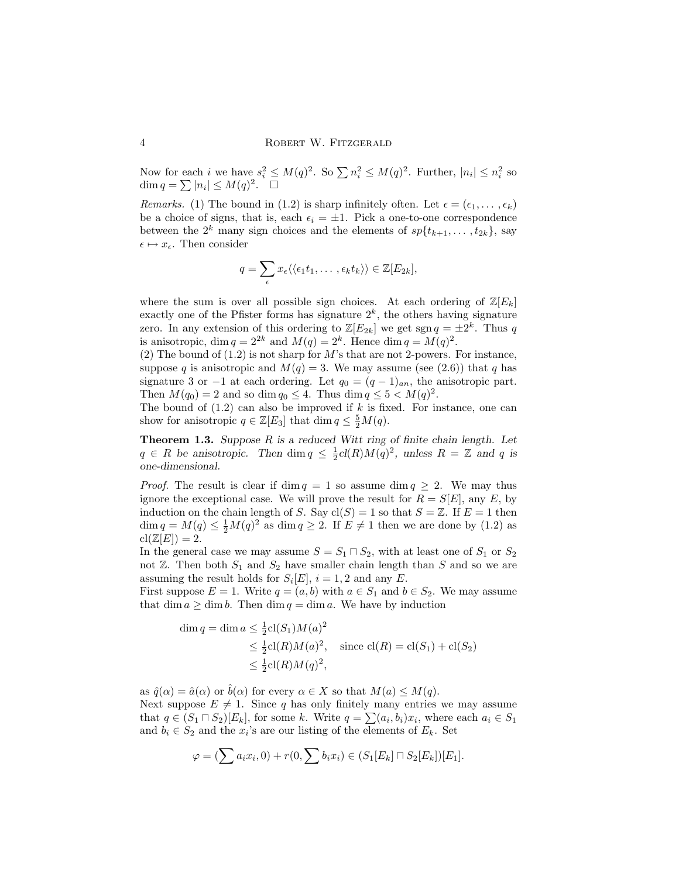Now for each *i* we have  $s_i^2 \leq M(q)^2$ . So  $\sum n_i^2 \leq M(q)^2$ . Further,  $|n_i| \leq n_i^2$  so Now for each t we have  $s_i \le$ <br>dim  $q = \sum |n_i| \leq M(q)^2$ .  $\Box$ 

Remarks. (1) The bound in (1.2) is sharp infinitely often. Let  $\epsilon = (\epsilon_1, \ldots, \epsilon_k)$ be a choice of signs, that is, each  $\epsilon_i = \pm 1$ . Pick a one-to-one correspondence between the  $2^k$  many sign choices and the elements of  $sp{t_{k+1}, \ldots, t_{2k}}$ , say  $\epsilon \mapsto x_{\epsilon}$ . Then consider

$$
q = \sum_{\epsilon} x_{\epsilon} \langle \langle \epsilon_1 t_1, \ldots, \epsilon_k t_k \rangle \rangle \in \mathbb{Z}[E_{2k}],
$$

where the sum is over all possible sign choices. At each ordering of  $\mathbb{Z}[E_k]$ exactly one of the Pfister forms has signature  $2<sup>k</sup>$ , the others having signature zero. In any extension of this ordering to  $\mathbb{Z}[E_{2k}]$  we get sgn  $q = \pm 2^k$ . Thus q is anisotropic, dim  $q = 2^{2k}$  and  $M(q) = 2^k$ . Hence dim  $q = M(q)^2$ .

(2) The bound of  $(1.2)$  is not sharp for M's that are not 2-powers. For instance, suppose q is anisotropic and  $M(q) = 3$ . We may assume (see (2.6)) that q has signature 3 or −1 at each ordering. Let  $q_0 = (q-1)_{an}$ , the anisotropic part. Then  $M(q_0) = 2$  and so dim  $q_0 \leq 4$ . Thus dim  $q \leq 5 < M(q)^2$ .

The bound of  $(1.2)$  can also be improved if k is fixed. For instance, one can show for anisotropic  $q \in \mathbb{Z}[E_3]$  that  $\dim q \leq \frac{5}{2}M(q)$ .

**Theorem 1.3.** Suppose  $R$  is a reduced Witt ring of finite chain length. Let  $q \in R$  be anisotropic. Then  $\dim q \leq \frac{1}{2}cl(R)M(q)^2$ , unless  $R = \mathbb{Z}$  and q is one-dimensional.

*Proof.* The result is clear if dim  $q = 1$  so assume dim  $q \geq 2$ . We may thus ignore the exceptional case. We will prove the result for  $R = S[E]$ , any E, by induction on the chain length of S. Say  $cl(S) = 1$  so that  $S = \mathbb{Z}$ . If  $E = 1$  then  $\dim q = M(q) \leq \frac{1}{2}M(q)^2$  as  $\dim q \geq 2$ . If  $E \neq 1$  then we are done by (1.2) as  $\operatorname{cl}(\mathbb{Z}[E]) = 2.$ 

In the general case we may assume  $S = S_1 \sqcap S_2$ , with at least one of  $S_1$  or  $S_2$ not  $\mathbb{Z}$ . Then both  $S_1$  and  $S_2$  have smaller chain length than S and so we are assuming the result holds for  $S_i[E]$ ,  $i = 1, 2$  and any E.

First suppose  $E = 1$ . Write  $q = (a, b)$  with  $a \in S_1$  and  $b \in S_2$ . We may assume that dim  $a \geq \dim b$ . Then dim  $q = \dim a$ . We have by induction

$$
\dim q = \dim a \le \frac{1}{2} \operatorname{cl}(S_1) M(a)^2
$$
  
\n
$$
\le \frac{1}{2} \operatorname{cl}(R) M(a)^2, \quad \text{since } \operatorname{cl}(R) = \operatorname{cl}(S_1) + \operatorname{cl}(S_2)
$$
  
\n
$$
\le \frac{1}{2} \operatorname{cl}(R) M(q)^2,
$$

as  $\hat{q}(\alpha) = \hat{a}(\alpha)$  or  $\hat{b}(\alpha)$  for every  $\alpha \in X$  so that  $M(a) \leq M(q)$ . Next suppose  $E \neq 1$ . Since q has only finitely many entries we may assume that  $q \in (S_1 \sqcap S_2)[E_k]$ , for some k. Write  $q = \sum (a_i, b_i)x_i$ , where each  $a_i \in S_1$ and  $b_i \in S_2$  and the  $x_i$ 's are our listing of the elements of  $E_k$ . Set

$$
\varphi = (\sum a_i x_i, 0) + r(0, \sum b_i x_i) \in (S_1[E_k] \cap S_2[E_k])[E_1].
$$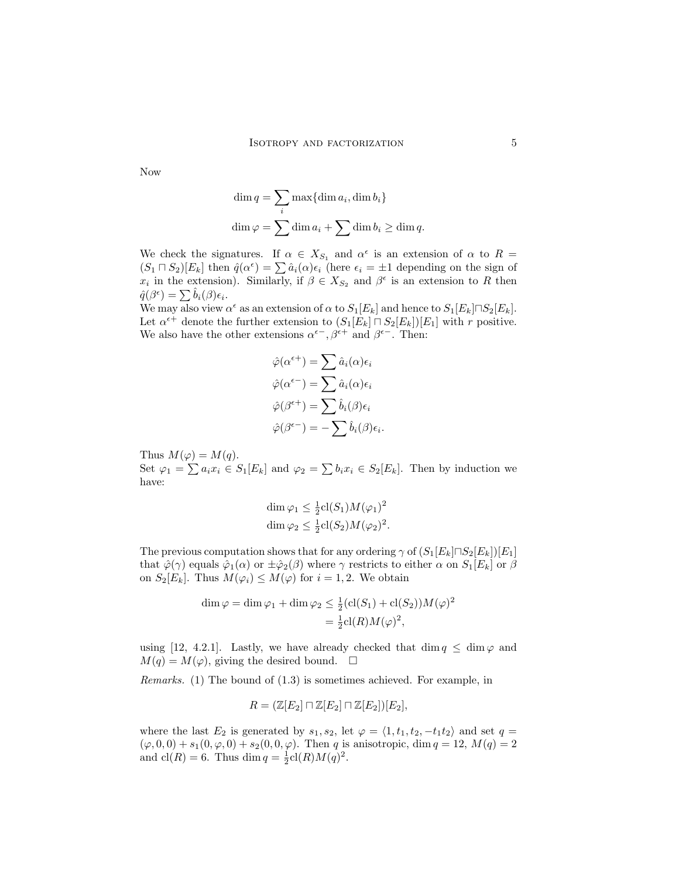Now

$$
\dim q = \sum_{i} \max{\dim a_i, \dim b_i}
$$
  

$$
\dim \varphi = \sum \dim a_i + \sum \dim b_i \ge \dim q.
$$

We check the signatures. If  $\alpha \in X_{S_1}$  and  $\alpha^{\epsilon}$  is an extension of  $\alpha$  to  $R =$ We check the signatures. If  $\alpha \in X_{S_1}$  and  $\alpha'$  is an extension of  $\alpha$  to  $\kappa =$ <br> $(S_1 \sqcap S_2)[E_k]$  then  $\hat{q}(\alpha^{\epsilon}) = \sum \hat{a}_i(\alpha)\epsilon_i$  (here  $\epsilon_i = \pm 1$  depending on the sign of  $x_i$  in the extension). Similarly, if  $\beta \in X_{S_2}$  and  $\beta^{\epsilon}$  is an extension to R then  $\hat{q}(\beta^{\epsilon}) = \sum \hat{b}_i(\beta) \epsilon_i.$ 

We may also view  $\alpha^{\epsilon}$  as an extension of  $\alpha$  to  $S_1[E_k]$  and hence to  $S_1[E_k] \cap S_2[E_k]$ . Let  $\alpha^{\epsilon+}$  denote the further extension to  $(S_1[E_k] \sqcap S_2[E_k])[E_1]$  with r positive. We also have the other extensions  $\alpha^{\epsilon-}$ ,  $\beta^{\epsilon+}$  and  $\beta^{\epsilon-}$ . Then:

$$
\hat{\varphi}(\alpha^{\epsilon+}) = \sum \hat{a}_i(\alpha) \epsilon_i
$$

$$
\hat{\varphi}(\alpha^{\epsilon-}) = \sum \hat{a}_i(\alpha) \epsilon_i
$$

$$
\hat{\varphi}(\beta^{\epsilon+}) = \sum \hat{b}_i(\beta) \epsilon_i
$$

$$
\hat{\varphi}(\beta^{\epsilon-}) = -\sum \hat{b}_i(\beta) \epsilon_i.
$$

Thus  $M(\varphi) = M(q)$ . Set  $\varphi_1 = \sum a_i x_i \in S_1[E_k]$  and  $\varphi_2 = \sum b_i x_i \in S_2[E_k]$ . Then by induction we have:

$$
\dim \varphi_1 \leq \frac{1}{2} \operatorname{cl}(S_1) M(\varphi_1)^2
$$
  

$$
\dim \varphi_2 \leq \frac{1}{2} \operatorname{cl}(S_2) M(\varphi_2)^2.
$$

The previous computation shows that for any ordering  $\gamma$  of  $(S_1[E_k] \cap S_2[E_k])[E_1]$ that  $\hat{\varphi}(\gamma)$  equals  $\hat{\varphi}_1(\alpha)$  or  $\pm \hat{\varphi}_2(\beta)$  where  $\gamma$  restricts to either  $\alpha$  on  $S_1[E_k]$  or  $\beta$ on  $S_2[E_k]$ . Thus  $M(\varphi_i) \leq M(\varphi)$  for  $i = 1, 2$ . We obtain

$$
\dim \varphi = \dim \varphi_1 + \dim \varphi_2 \leq \frac{1}{2} (cl(S_1) + cl(S_2)) M(\varphi)^2
$$
  
= 
$$
\frac{1}{2} cl(R) M(\varphi)^2,
$$

using [12, 4.2.1]. Lastly, we have already checked that dim  $q \leq \dim \varphi$  and  $M(q) = M(\varphi)$ , giving the desired bound.  $\square$ 

Remarks. (1) The bound of (1.3) is sometimes achieved. For example, in

$$
R = (\mathbb{Z}[E_2] \sqcap \mathbb{Z}[E_2] \sqcap \mathbb{Z}[E_2])[E_2],
$$

where the last  $E_2$  is generated by  $s_1, s_2$ , let  $\varphi = \langle 1, t_1, t_2, -t_1t_2 \rangle$  and set  $q =$  $(\varphi, 0, 0) + s_1(0, \varphi, 0) + s_2(0, 0, \varphi)$ . Then q is anisotropic, dim  $q = 12$ ,  $M(q) = 2$ and  $\text{cl}(R) = 6$ . Thus  $\dim q = \frac{1}{2}\text{cl}(R)M(q)^2$ .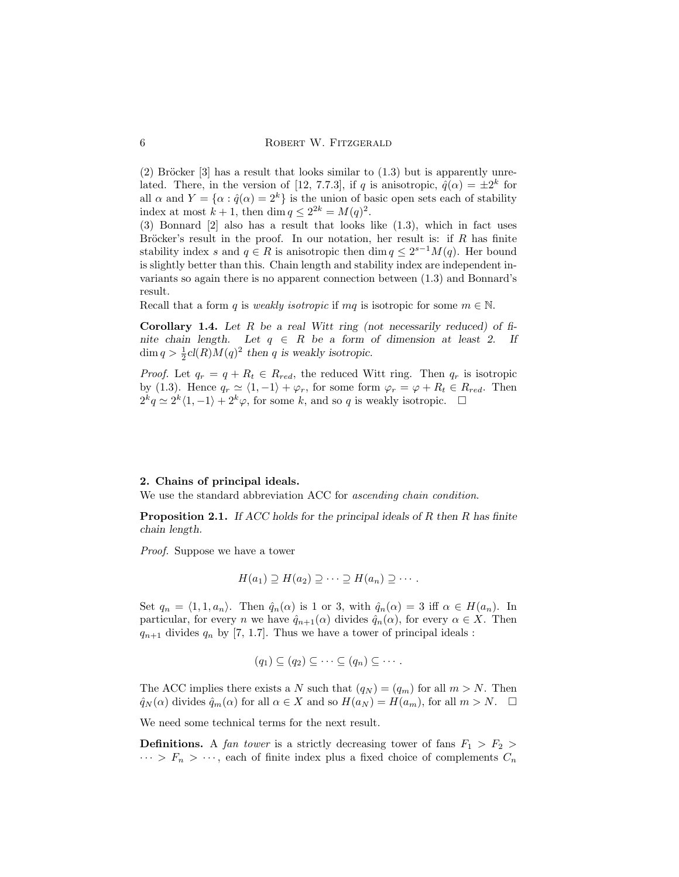$(2)$  Bröcker [3] has a result that looks similar to  $(1.3)$  but is apparently unrelated. There, in the version of [12, 7.7.3], if q is anisotropic,  $\hat{q}(\alpha) = \pm 2^k$  for all  $\alpha$  and  $Y = {\alpha : \hat{q}(\alpha) = 2^k}$  is the union of basic open sets each of stability index at most  $k + 1$ , then dim  $q \leq 2^{2k} = M(q)^2$ .

(3) Bonnard [2] also has a result that looks like (1.3), which in fact uses Bröcker's result in the proof. In our notation, her result is: if  $R$  has finite stability index s and  $q \in R$  is anisotropic then  $\dim q \leq 2^{s-1}M(q)$ . Her bound is slightly better than this. Chain length and stability index are independent invariants so again there is no apparent connection between (1.3) and Bonnard's result.

Recall that a form q is weakly isotropic if mq is isotropic for some  $m \in \mathbb{N}$ .

**Corollary 1.4.** Let R be a real Witt ring (not necessarily reduced) of finite chain length. Let  $q \in R$  be a form of dimension at least 2. If  $\dim q > \frac{1}{2}cl(R)M(q)^2$  then q is weakly isotropic.

*Proof.* Let  $q_r = q + R_t \in R_{red}$ , the reduced Witt ring. Then  $q_r$  is isotropic by (1.3). Hence  $q_r \simeq \langle 1, -1 \rangle + \varphi_r$ , for some form  $\varphi_r = \varphi + R_t \in R_{red}$ . Then  $2^k q \simeq 2^k \langle 1, -1 \rangle + 2^k \varphi$ , for some k, and so q is weakly isotropic.  $\Box$ 

#### 2. Chains of principal ideals.

We use the standard abbreviation ACC for *ascending chain condition*.

**Proposition 2.1.** If ACC holds for the principal ideals of  $R$  then  $R$  has finite chain length.

Proof. Suppose we have a tower

$$
H(a_1) \supseteq H(a_2) \supseteq \cdots \supseteq H(a_n) \supseteq \cdots.
$$

Set  $q_n = \langle 1, 1, a_n \rangle$ . Then  $\hat{q}_n(\alpha)$  is 1 or 3, with  $\hat{q}_n(\alpha) = 3$  iff  $\alpha \in H(a_n)$ . In particular, for every n we have  $\hat{q}_{n+1}(\alpha)$  divides  $\hat{q}_n(\alpha)$ , for every  $\alpha \in X$ . Then  $q_{n+1}$  divides  $q_n$  by [7, 1.7]. Thus we have a tower of principal ideals :

$$
(q_1) \subseteq (q_2) \subseteq \cdots \subseteq (q_n) \subseteq \cdots.
$$

The ACC implies there exists a N such that  $(q_N) = (q_m)$  for all  $m > N$ . Then  $\hat{q}_N(\alpha)$  divides  $\hat{q}_m(\alpha)$  for all  $\alpha \in X$  and so  $H(a_N) = H(a_m)$ , for all  $m > N$ .  $\Box$ 

We need some technical terms for the next result.

**Definitions.** A fan tower is a strictly decreasing tower of fans  $F_1 > F_2$  $\cdots > F_n > \cdots$ , each of finite index plus a fixed choice of complements  $C_n$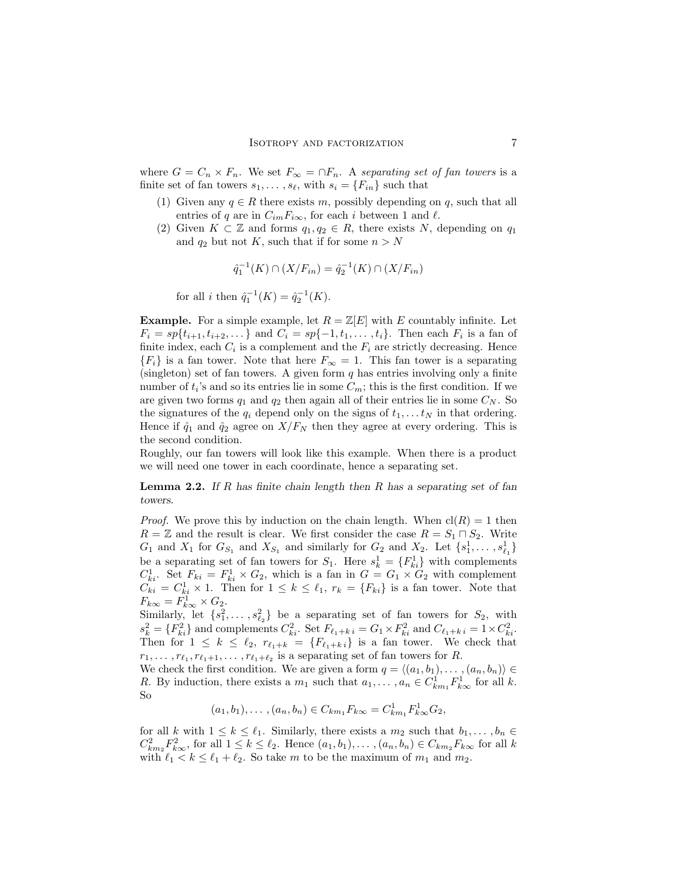where  $G = C_n \times F_n$ . We set  $F_{\infty} = \cap F_n$ . A separating set of fan towers is a finite set of fan towers  $s_1, \ldots, s_\ell$ , with  $s_i = \{F_{in}\}\$  such that

- (1) Given any  $q \in R$  there exists m, possibly depending on q, such that all entries of q are in  $C_{im}F_{i\infty}$ , for each i between 1 and  $\ell$ .
- (2) Given  $K \subset \mathbb{Z}$  and forms  $q_1, q_2 \in R$ , there exists N, depending on  $q_1$ and  $q_2$  but not K, such that if for some  $n > N$

$$
\hat{q}_1^{-1}(K) \cap (X/F_{in}) = \hat{q}_2^{-1}(K) \cap (X/F_{in})
$$

for all *i* then  $\hat{q}_1^{-1}(K) = \hat{q}_2^{-1}(K)$ .

**Example.** For a simple example, let  $R = \mathbb{Z}[E]$  with E countably infinite. Let  $F_i = sp{t_{i+1}, t_{i+2}, \ldots}$  and  $C_i = sp{-1, t_1, \ldots, t_i}$ . Then each  $F_i$  is a fan of finite index, each  $C_i$  is a complement and the  $F_i$  are strictly decreasing. Hence  ${F_i}$  is a fan tower. Note that here  $F_{\infty} = 1$ . This fan tower is a separating (singleton) set of fan towers. A given form  $q$  has entries involving only a finite number of  $t_i$ 's and so its entries lie in some  $C_m$ ; this is the first condition. If we are given two forms  $q_1$  and  $q_2$  then again all of their entries lie in some  $C_N$ . So the signatures of the  $q_i$  depend only on the signs of  $t_1, \ldots t_N$  in that ordering. Hence if  $\hat{q}_1$  and  $\hat{q}_2$  agree on  $X/F_N$  then they agree at every ordering. This is the second condition.

Roughly, our fan towers will look like this example. When there is a product we will need one tower in each coordinate, hence a separating set.

**Lemma 2.2.** If R has finite chain length then R has a separating set of fan towers.

*Proof.* We prove this by induction on the chain length. When  $cl(R) = 1$  then  $R = \mathbb{Z}$  and the result is clear. We first consider the case  $R = S_1 \cap S_2$ . Write  $G_1$  and  $X_1$  for  $G_{S_1}$  and  $X_{S_1}$  and similarly for  $G_2$  and  $X_2$ . Let  $\{s_1^1, \ldots, s_{\ell_1}^1\}$ be a separating set of fan towers for  $S_1$ . Here  $s_k^1 = \{F_{ki}^1\}$  with complements  $C_{ki}^1$ . Set  $F_{ki} = F_{ki}^1 \times G_2$ , which is a fan in  $G = G_1 \times G_2$  with complement  $\widetilde{C}_{ki} = C_{ki}^1 \times 1$ . Then for  $1 \leq k \leq \ell_1$ ,  $r_k = \{F_{ki}\}\$ is a fan tower. Note that  $F_{k\infty} = F_{k\infty}^1 \times G_2.$ 

Similarly, let  $\{s_1^2, \ldots, s_{\ell_2}^2\}$  be a separating set of fan towers for  $S_2$ , with  $s_k^2 = \{F_{ki}^2\}$  and complements  $C_{ki}^2$ . Set  $F_{\ell_1+k i} = G_1 \times F_{ki}^2$  and  $C_{\ell_1+k i} = 1 \times C_{ki}^2$ . Then for  $1 \leq k \leq \ell_2$ ,  $r_{\ell_1+k} = \{F_{\ell_1+k} \}$  is a fan tower. We check that  $r_1, \ldots, r_{\ell_1}, r_{\ell_1+1}, \ldots, r_{\ell_1+\ell_2}$  is a separating set of fan towers for R.

We check the first condition. We are given a form  $q = \langle (a_1, b_1), \ldots, (a_n, b_n) \rangle \in$ R. By induction, there exists a  $m_1$  such that  $a_1, \ldots, a_n \in C^1_{km_1} F^1_{k\infty}$  for all k. So

$$
(a_1, b_1), \ldots, (a_n, b_n) \in C_{km_1} F_{k\infty} = C_{km_1}^1 F_{k\infty}^1 G_2,
$$

for all k with  $1 \leq k \leq \ell_1$ . Similarly, there exists a  $m_2$  such that  $b_1, \ldots, b_n \in$  $C_{km_2}^2 F_{k\infty}^2$ , for all  $1 \leq k \leq \ell_2$ . Hence  $(a_1, b_1), \ldots, (a_n, b_n) \in C_{km_2} F_{k\infty}$  for all k with  $\ell_1 < k \leq \ell_1 + \ell_2$ . So take m to be the maximum of  $m_1$  and  $m_2$ .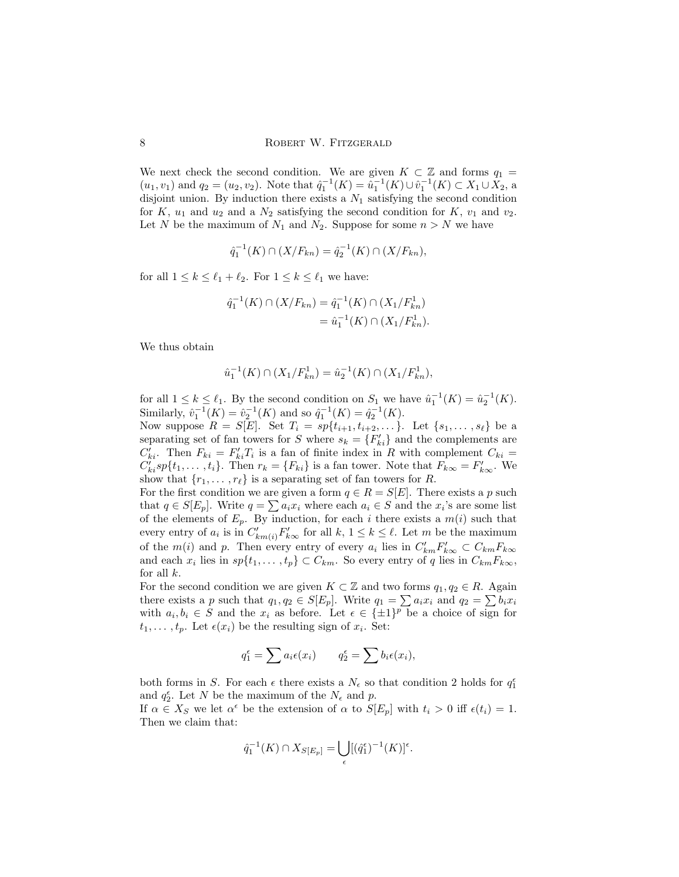We next check the second condition. We are given  $K \subset \mathbb{Z}$  and forms  $q_1 =$  $(u_1, v_1)$  and  $q_2 = (u_2, v_2)$ . Note that  $\hat{q}_1^{-1}(K) = \hat{u}_1^{-1}(K) \cup \hat{v}_1^{-1}(K) \subset X_1 \cup X_2$ , a disjoint union. By induction there exists a  $N_1$  satisfying the second condition for K,  $u_1$  and  $u_2$  and a  $N_2$  satisfying the second condition for K,  $v_1$  and  $v_2$ . Let N be the maximum of  $N_1$  and  $N_2$ . Suppose for some  $n > N$  we have

$$
\hat{q}_1^{-1}(K) \cap (X/F_{kn}) = \hat{q}_2^{-1}(K) \cap (X/F_{kn}),
$$

for all  $1 \leq k \leq \ell_1 + \ell_2$ . For  $1 \leq k \leq \ell_1$  we have:

$$
\hat{q}_1^{-1}(K) \cap (X/F_{kn}) = \hat{q}_1^{-1}(K) \cap (X_1/F_{kn}^1)
$$

$$
= \hat{u}_1^{-1}(K) \cap (X_1/F_{kn}^1).
$$

We thus obtain

$$
\hat{u}_1^{-1}(K) \cap (X_1/F_{kn}^1) = \hat{u}_2^{-1}(K) \cap (X_1/F_{kn}^1),
$$

for all  $1 \leq k \leq \ell_1$ . By the second condition on  $S_1$  we have  $\hat{u}_1^{-1}(K) = \hat{u}_2^{-1}(K)$ . Similarly,  $\hat{v}_1^{-1}(K) = \hat{v}_2^{-1}(K)$  and so  $\hat{q}_1^{-1}(K) = \hat{q}_2^{-1}(K)$ .

Now suppose  $R = S[E]$ . Set  $T_i = sp\{t_{i+1}, t_{i+2}, \ldots\}$ . Let  $\{s_1, \ldots, s_\ell\}$  be a separating set of fan towers for S where  $s_k = \{F'_{ki}\}\$ and the complements are  $C'_{ki}$ . Then  $F_{ki} = F'_{ki}T_i$  is a fan of finite index in R with complement  $C_{ki} =$  $C'_{ki}sp{t_1,\ldots,t_i}$ . Then  $r_k = {F_{ki}}$  is a fan tower. Note that  $F_{k\infty} = F'_{k\infty}$ . We show that  $\{r_1, \ldots, r_\ell\}$  is a separating set of fan towers for R.

For the first condition we are given a form  $q \in R = S[E]$ . There exists a p such For the first condition we are given a form  $q \in \mathbb{R} = \mathbb{R}[E]$ . There exists a p such that  $q \in S[E_p]$ . Write  $q = \sum a_i x_i$  where each  $a_i \in S$  and the  $x_i$ 's are some list of the elements of  $E_p$ . By induction, for each i there exists a  $m(i)$  such that every entry of  $a_i$  is in  $C'_{km(i)}F'_{k\infty}$  for all  $k, 1 \leq k \leq \ell$ . Let m be the maximum of the  $m(i)$  and p. Then every entry of every  $a_i$  lies in  $C'_{km}F'_{k\infty} \subset C_{km}F_{k\infty}$ and each  $x_i$  lies in  $sp{t_1, \ldots, t_p} \subset C_{km}$ . So every entry of q lies in  $C_{km}F_{k\infty}$ , for all  $k$ .

For the second condition we are given  $K \subset \mathbb{Z}$  and two forms  $q_1, q_2 \in R$ . Again For the second condition we are given  $\Lambda \subseteq \mathbb{Z}$  and two forms  $q_1, q_2 \in \Lambda$ . Again<br>there exists a p such that  $q_1, q_2 \in S[E_p]$ . Write  $q_1 = \sum a_i x_i$  and  $q_2 = \sum b_i x_i$ with  $a_i, b_i \in S$  and the  $x_i$  as before. Let  $\epsilon \in {\{\pm 1\}}^p$  be a choice of sign for  $t_1, \ldots, t_p$ . Let  $\epsilon(x_i)$  be the resulting sign of  $x_i$ . Set:

$$
q_1^{\epsilon} = \sum a_i \epsilon(x_i) \qquad q_2^{\epsilon} = \sum b_i \epsilon(x_i),
$$

both forms in S. For each  $\epsilon$  there exists a  $N_{\epsilon}$  so that condition 2 holds for  $q_1^{\epsilon}$ and  $q_2^{\epsilon}$ . Let N be the maximum of the  $N_{\epsilon}$  and p.

If  $\alpha \in X_S$  we let  $\alpha^{\epsilon}$  be the extension of  $\alpha$  to  $S[E_p]$  with  $t_i > 0$  iff  $\epsilon(t_i) = 1$ . Then we claim that:

$$
\hat{q}_1^{-1}(K) \cap X_{S[E_p]} = \bigcup_{\epsilon} [(\hat{q}_1^{\epsilon})^{-1}(K)]^{\epsilon}.
$$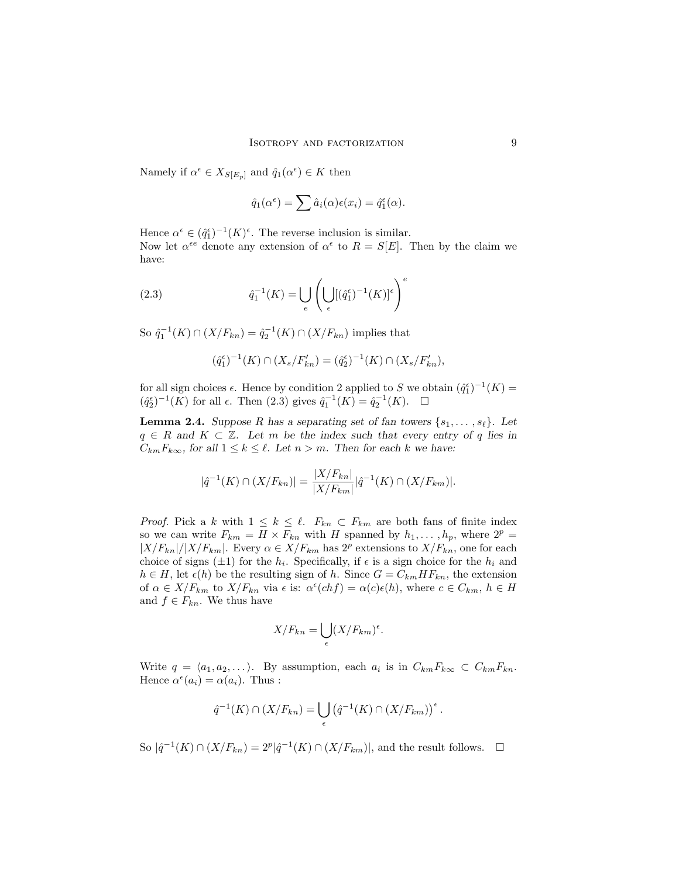Namely if  $\alpha^{\epsilon} \in X_{S[E_p]}$  and  $\hat{q}_1(\alpha^{\epsilon}) \in K$  then

$$
\hat{q}_1(\alpha^{\epsilon}) = \sum \hat{a}_i(\alpha) \epsilon(x_i) = \hat{q}_1^{\epsilon}(\alpha).
$$

Hence  $\alpha^{\epsilon} \in (\hat{q}_1^{\epsilon})^{-1}(K)^{\epsilon}$ . The reverse inclusion is similar. Now let  $\alpha^{\epsilon e}$  denote any extension of  $\alpha^{\epsilon}$  to  $R = S[E]$ . Then by the claim we have:

(2.3) 
$$
\hat{q}_1^{-1}(K) = \bigcup_e \left( \bigcup_{\epsilon} [(\hat{q}_1^{\epsilon})^{-1}(K)]^{\epsilon} \right)^e
$$

So  $\hat{q}_1^{-1}(K) \cap (X/F_{kn}) = \hat{q}_2^{-1}(K) \cap (X/F_{kn})$  implies that

$$
(\hat{q}_1^{\epsilon})^{-1}(K) \cap (X_s/F'_{kn}) = (\hat{q}_2^{\epsilon})^{-1}(K) \cap (X_s/F'_{kn}),
$$

for all sign choices  $\epsilon$ . Hence by condition 2 applied to S we obtain  $(\hat{q}_1^{\epsilon})^{-1}(K)$  =  $(\hat{q}_2^{\epsilon})^{-1}(K)$  for all  $\epsilon$ . Then (2.3) gives  $\hat{q}_1^{-1}(K) = \hat{q}_2^{-1}(K)$ .  $\Box$ 

**Lemma 2.4.** Suppose R has a separating set of fan towers  $\{s_1, \ldots, s_\ell\}$ . Let  $q \in R$  and  $K \subset \mathbb{Z}$ . Let m be the index such that every entry of q lies in  $C_{km}F_{k\infty}$ , for all  $1 \leq k \leq \ell$ . Let  $n > m$ . Then for each k we have:

$$
|\hat{q}^{-1}(K) \cap (X/F_{kn})| = \frac{|X/F_{kn}|}{|X/F_{km}|} |\hat{q}^{-1}(K) \cap (X/F_{km})|.
$$

*Proof.* Pick a k with  $1 \leq k \leq \ell$ .  $F_{kn} \subset F_{km}$  are both fans of finite index so we can write  $F_{km} = H \times F_{kn}$  with H spanned by  $h_1, \ldots, h_p$ , where  $2^p =$  $|X/F_{kn}|/|X/F_{km}|$ . Every  $\alpha \in X/F_{km}$  has  $2^p$  extensions to  $X/F_{kn}$ , one for each choice of signs  $(\pm 1)$  for the  $h_i$ . Specifically, if  $\epsilon$  is a sign choice for the  $h_i$  and  $h \in H$ , let  $\epsilon(h)$  be the resulting sign of h. Since  $G = C_{km} HF_{kn}$ , the extension of  $\alpha \in X/F_{km}$  to  $X/F_{kn}$  via  $\epsilon$  is:  $\alpha^{\epsilon}(chf) = \alpha(c)\epsilon(h)$ , where  $c \in C_{km}$ ,  $h \in H$ and  $f \in F_{kn}$ . We thus have

$$
X/F_{kn} = \bigcup_{\epsilon} (X/F_{km})^{\epsilon}.
$$

Write  $q = \langle a_1, a_2, \dots \rangle$ . By assumption, each  $a_i$  is in  $C_{km}F_{k\infty} \subset C_{km}F_{kn}$ . Hence  $\alpha^{\epsilon}(a_i) = \alpha(a_i)$ . Thus :

$$
\hat{q}^{-1}(K) \cap (X/F_{kn}) = \bigcup_{\epsilon} \left( \hat{q}^{-1}(K) \cap (X/F_{km}) \right)^{\epsilon}.
$$

So  $|\hat{q}^{-1}(K) \cap (X/F_{kn}) = 2^p |\hat{q}^{-1}(K) \cap (X/F_{km})|$ , and the result follows.  $\Box$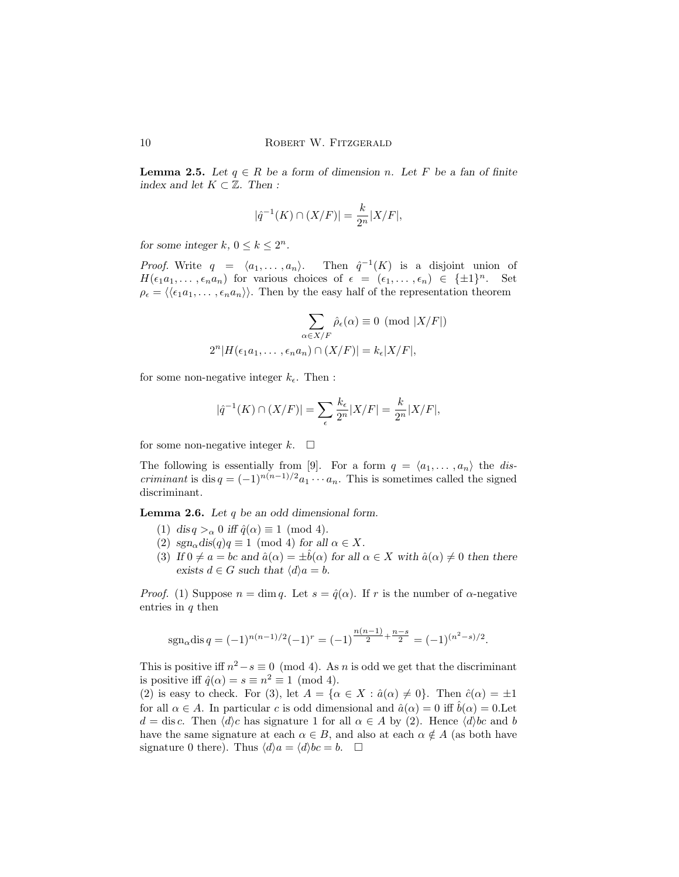**Lemma 2.5.** Let  $q \in R$  be a form of dimension n. Let F be a fan of finite index and let  $K \subset \mathbb{Z}$ . Then :

$$
|\hat{q}^{-1}(K) \cap (X/F)| = \frac{k}{2^n}|X/F|,
$$

for some integer  $k, 0 \leq k \leq 2^n$ .

*Proof.* Write  $q = \langle a_1, \ldots, a_n \rangle$ .  $^{-1}(K)$  is a disjoint union of  $H(\epsilon_1 a_1, \ldots, \epsilon_n a_n)$  for various choices of  $\epsilon = (\epsilon_1, \ldots, \epsilon_n) \in {\pm 1}^n$ . Set  $\rho_{\epsilon} = \langle \langle \epsilon_1 a_1, \ldots, \epsilon_n a_n \rangle \rangle$ . Then by the easy half of the representation theorem

$$
\sum_{\alpha \in X/F} \hat{\rho}_{\epsilon}(\alpha) \equiv 0 \pmod{|X/F|}
$$
  

$$
2^{n}|H(\epsilon_1 a_1, \dots, \epsilon_n a_n) \cap (X/F)| = k_{\epsilon}|X/F|,
$$

for some non-negative integer  $k_{\epsilon}$ . Then :

$$
|\widehat{q}^{-1}(K) \cap (X/F)| = \sum_{\epsilon} \frac{k_{\epsilon}}{2^n} |X/F| = \frac{k}{2^n} |X/F|,
$$

for some non-negative integer  $k$ .  $\Box$ 

The following is essentially from [9]. For a form  $q = \langle a_1, \ldots, a_n \rangle$  the dis*criminant* is dis  $q = (-1)^{n(n-1)/2} a_1 \cdots a_n$ . This is sometimes called the signed discriminant.

**Lemma 2.6.** Let  $q$  be an odd dimensional form.

- (1) dis  $q >_{\alpha} 0$  iff  $\hat{q}(\alpha) \equiv 1 \pmod{4}$ .
- (2)  $sgn_{\alpha}$  dis(q)q  $\equiv$  1 (mod 4) for all  $\alpha \in X$ .
- (3) If  $0 \neq a = bc$  and  $\hat{a}(\alpha) = \pm \hat{b}(\alpha)$  for all  $\alpha \in X$  with  $\hat{a}(\alpha) \neq 0$  then there exists  $d \in G$  such that  $\langle d \rangle a = b$ .

*Proof.* (1) Suppose  $n = \dim q$ . Let  $s = \hat{q}(\alpha)$ . If r is the number of  $\alpha$ -negative entries in  $q$  then

$$
sgn_{\alpha}disq = (-1)^{n(n-1)/2}(-1)^r = (-1)^{\frac{n(n-1)}{2} + \frac{n-s}{2}} = (-1)^{(n^2 - s)/2}.
$$

This is positive iff  $n^2 - s \equiv 0 \pmod{4}$ . As n is odd we get that the discriminant is positive iff  $\hat{q}(\alpha) = s \equiv n^2 \equiv 1 \pmod{4}$ .

(2) is easy to check. For (3), let  $A = {\alpha \in X : \hat{a}(\alpha) \neq 0}$ . Then  $\hat{c}(\alpha) = \pm 1$ for all  $\alpha \in A$ . In particular c is odd dimensional and  $\hat{a}(\alpha) = 0$  iff  $\hat{b}(\alpha) = 0$ . Let  $d = \text{dis } c$ . Then  $\langle d \rangle c$  has signature 1 for all  $\alpha \in A$  by (2). Hence  $\langle d \rangle bc$  and b have the same signature at each  $\alpha \in B$ , and also at each  $\alpha \notin A$  (as both have signature 0 there). Thus  $\langle d \rangle a = \langle d \rangle bc = b.$   $\Box$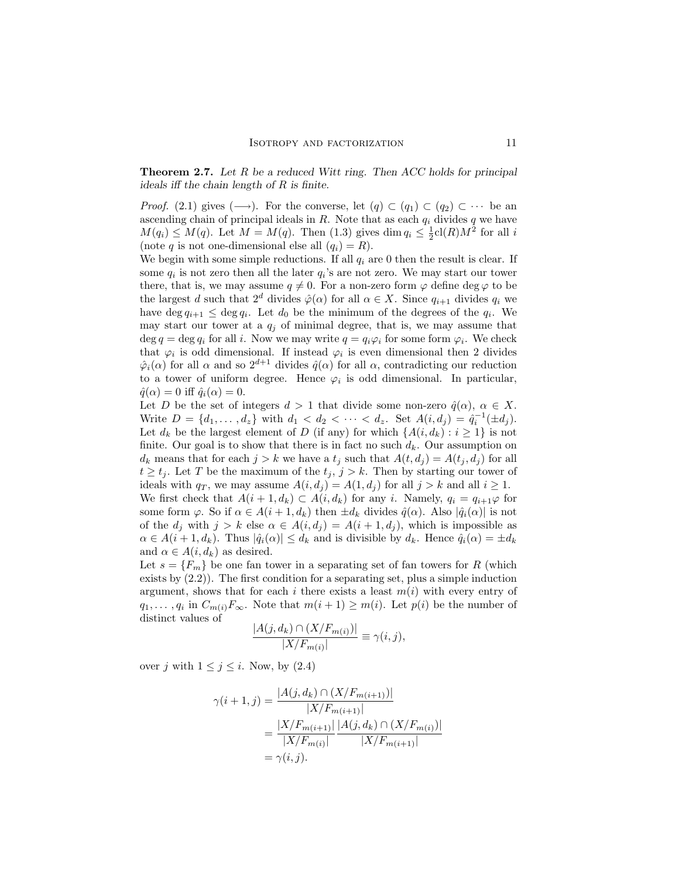**Theorem 2.7.** Let R be a reduced Witt ring. Then ACC holds for principal ideals iff the chain length of R is finite.

*Proof.* (2.1) gives  $(\longrightarrow)$ . For the converse, let  $(q) \subset (q_1) \subset (q_2) \subset \cdots$  be an ascending chain of principal ideals in  $R$ . Note that as each  $q_i$  divides q we have  $M(q_i) \leq M(q)$ . Let  $M = M(q)$ . Then (1.3) gives dim  $q_i \leq \frac{1}{2}cl(R)M^2$  for all i (note q is not one-dimensional else all  $(q_i) = R$ ).

We begin with some simple reductions. If all  $q_i$  are 0 then the result is clear. If some  $q_i$  is not zero then all the later  $q_i$ 's are not zero. We may start our tower there, that is, we may assume  $q \neq 0$ . For a non-zero form  $\varphi$  define deg  $\varphi$  to be the largest d such that  $2^d$  divides  $\hat{\varphi}(\alpha)$  for all  $\alpha \in X$ . Since  $q_{i+1}$  divides  $q_i$  we have deg  $q_{i+1} \leq \deg q_i$ . Let  $d_0$  be the minimum of the degrees of the  $q_i$ . We may start our tower at a  $q_j$  of minimal degree, that is, we may assume that deg  $q = \deg q_i$  for all i. Now we may write  $q = q_i \varphi_i$  for some form  $\varphi_i$ . We check that  $\varphi_i$  is odd dimensional. If instead  $\varphi_i$  is even dimensional then 2 divides  $\hat{\varphi}_i(\alpha)$  for all  $\alpha$  and so  $2^{d+1}$  divides  $\hat{q}(\alpha)$  for all  $\alpha$ , contradicting our reduction to a tower of uniform degree. Hence  $\varphi_i$  is odd dimensional. In particular,  $\hat{q}(\alpha) = 0$  iff  $\hat{q}_i(\alpha) = 0$ .

Let D be the set of integers  $d > 1$  that divide some non-zero  $\hat{q}(\alpha)$ ,  $\alpha \in X$ . Write  $D = \{d_1, \ldots, d_z\}$  with  $d_1 < d_2 < \cdots < d_z$ . Set  $A(i, d_j) = \hat{q}_i^{-1}(\pm d_j)$ . Let  $d_k$  be the largest element of D (if any) for which  $\{A(i, d_k) : i \geq 1\}$  is not finite. Our goal is to show that there is in fact no such  $d_k$ . Our assumption on  $d_k$  means that for each  $j > k$  we have a  $t_j$  such that  $A(t, d_j) = A(t_j, d_j)$  for all  $t \geq t_j$ . Let T be the maximum of the  $t_j$ ,  $j > k$ . Then by starting our tower of ideals with  $q_T$ , we may assume  $A(i, d_j) = A(1, d_j)$  for all  $j > k$  and all  $i \geq 1$ .

We first check that  $A(i + 1, d_k) \subset A(i, d_k)$  for any i. Namely,  $q_i = q_{i+1}\varphi$  for some form  $\varphi$ . So if  $\alpha \in A(i+1, d_k)$  then  $\pm d_k$  divides  $\hat{q}(\alpha)$ . Also  $|\hat{q}_i(\alpha)|$  is not of the  $d_j$  with  $j > k$  else  $\alpha \in A(i, d_j) = A(i + 1, d_j)$ , which is impossible as  $\alpha \in A(i+1, d_k)$ . Thus  $|\hat{q}_i(\alpha)| \leq d_k$  and is divisible by  $d_k$ . Hence  $\hat{q}_i(\alpha) = \pm d_k$ and  $\alpha \in A(i, d_k)$  as desired.

Let  $s = \{F_m\}$  be one fan tower in a separating set of fan towers for R (which exists by (2.2)). The first condition for a separating set, plus a simple induction argument, shows that for each i there exists a least  $m(i)$  with every entry of  $q_1, \ldots, q_i$  in  $C_{m(i)}F_\infty$ . Note that  $m(i+1) \geq m(i)$ . Let  $p(i)$  be the number of distinct values of

$$
\frac{|A(j, d_k) \cap (X/F_{m(i)})|}{|X/F_{m(i)}|} \equiv \gamma(i, j),
$$

over j with  $1 \leq j \leq i$ . Now, by  $(2.4)$ 

$$
\gamma(i+1,j) = \frac{|A(j,d_k) \cap (X/F_{m(i+1)})|}{|X/F_{m(i+1)}|}
$$
  
= 
$$
\frac{|X/F_{m(i+1)}|}{|X/F_{m(i)}|} \frac{|A(j,d_k) \cap (X/F_{m(i)})|}{|X/F_{m(i+1)}|}
$$
  
= 
$$
\gamma(i,j).
$$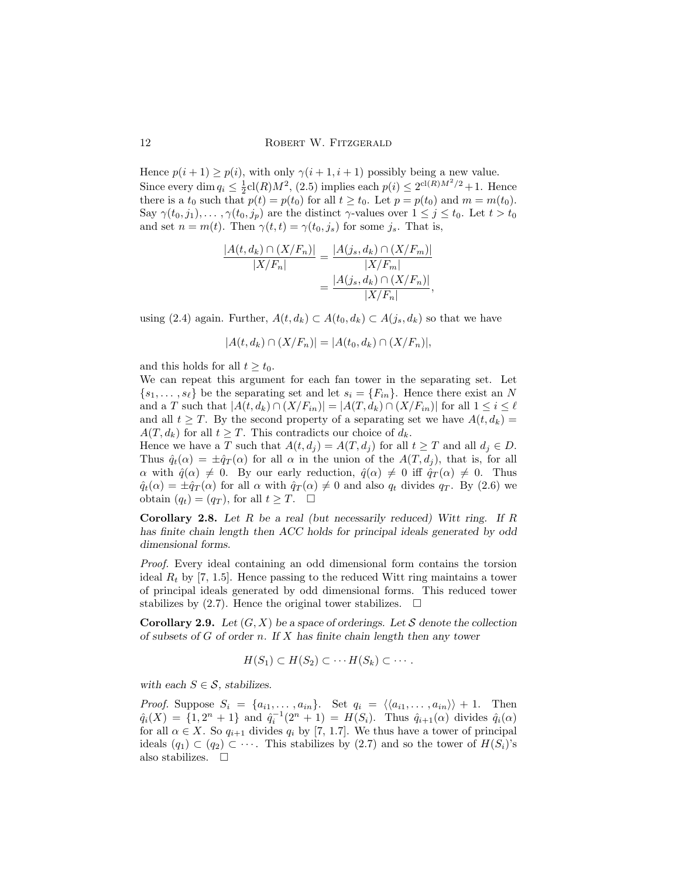Hence  $p(i + 1) \ge p(i)$ , with only  $\gamma(i + 1, i + 1)$  possibly being a new value. Since every dim  $q_i \leq \frac{1}{2}$ cl(R) $M^2$ , (2.5) implies each  $p(i) \leq 2^{\text{cl}(R)M^2/2} + 1$ . Hence there is a  $t_0$  such that  $p(t) = p(t_0)$  for all  $t \geq t_0$ . Let  $p = p(t_0)$  and  $m = m(t_0)$ . Say  $\gamma(t_0, j_1), \ldots, \gamma(t_0, j_p)$  are the distinct  $\gamma$ -values over  $1 \leq j \leq t_0$ . Let  $t > t_0$ and set  $n = m(t)$ . Then  $\gamma(t, t) = \gamma(t_0, j_s)$  for some  $j_s$ . That is,

$$
\frac{|A(t, d_k) \cap (X/F_n)|}{|X/F_n|} = \frac{|A(j_s, d_k) \cap (X/F_m)|}{|X/F_m|}
$$

$$
= \frac{|A(j_s, d_k) \cap (X/F_n)|}{|X/F_n|},
$$

using (2.4) again. Further,  $A(t, d_k) \subset A(t_0, d_k) \subset A(i_s, d_k)$  so that we have

$$
|A(t, d_k) \cap (X/F_n)| = |A(t_0, d_k) \cap (X/F_n)|,
$$

and this holds for all  $t \geq t_0$ .

We can repeat this argument for each fan tower in the separating set. Let  $\{s_1, \ldots, s_\ell\}$  be the separating set and let  $s_i = \{F_{in}\}\.$  Hence there exist an N and a T such that  $|A(t, d_k) \cap (X/F_{in})| = |A(T, d_k) \cap (X/F_{in})|$  for all  $1 \leq i \leq \ell$ and all  $t \geq T$ . By the second property of a separating set we have  $A(t, d_k) =$  $A(T, d_k)$  for all  $t \geq T$ . This contradicts our choice of  $d_k$ .

Hence we have a T such that  $A(t, d_i) = A(T, d_i)$  for all  $t \geq T$  and all  $d_i \in D$ . Thus  $\hat{q}_t(\alpha) = \pm \hat{q}_T(\alpha)$  for all  $\alpha$  in the union of the  $A(T, d_i)$ , that is, for all  $\alpha$  with  $\hat{q}(\alpha) \neq 0$ . By our early reduction,  $\hat{q}(\alpha) \neq 0$  iff  $\hat{q}_T(\alpha) \neq 0$ . Thus  $\hat{q}_t(\alpha) = \pm \hat{q}_T(\alpha)$  for all  $\alpha$  with  $\hat{q}_T(\alpha) \neq 0$  and also  $q_t$  divides  $q_T$ . By (2.6) we obtain  $(q_t) = (q_T)$ , for all  $t \geq T$ .  $\Box$ 

**Corollary 2.8.** Let  $R$  be a real (but necessarily reduced) Witt ring. If  $R$ has finite chain length then ACC holds for principal ideals generated by odd dimensional forms.

Proof. Every ideal containing an odd dimensional form contains the torsion ideal  $R_t$  by [7, 1.5]. Hence passing to the reduced Witt ring maintains a tower of principal ideals generated by odd dimensional forms. This reduced tower stabilizes by  $(2.7)$ . Hence the original tower stabilizes.  $\Box$ 

**Corollary 2.9.** Let  $(G, X)$  be a space of orderings. Let S denote the collection of subsets of  $G$  of order n. If  $X$  has finite chain length then any tower

$$
H(S_1) \subset H(S_2) \subset \cdots H(S_k) \subset \cdots.
$$

with each  $S \in \mathcal{S}$ , stabilizes.

*Proof.* Suppose  $S_i = \{a_{i1}, \ldots, a_{in}\}.$  Set  $q_i = \langle \langle a_{i1}, \ldots, a_{in} \rangle \rangle + 1.$  Then  $\hat{q}_i(X) = \{1, 2^n + 1\}$  and  $\hat{q}_i^{-1}(2^n + 1) = H(S_i)$ . Thus  $\hat{q}_{i+1}(\alpha)$  divides  $\hat{q}_i(\alpha)$ for all  $\alpha \in X$ . So  $q_{i+1}$  divides  $q_i$  by [7, 1.7]. We thus have a tower of principal ideals  $(q_1) \subset (q_2) \subset \cdots$ . This stabilizes by  $(2.7)$  and so the tower of  $H(S_i)$ 's also stabilizes.  $\Box$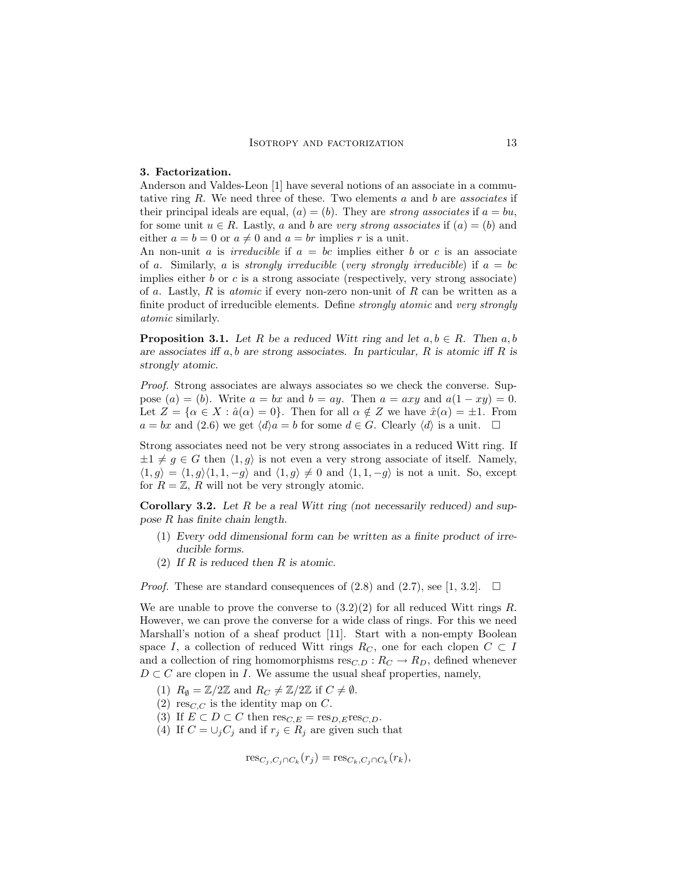#### 3. Factorization.

Anderson and Valdes-Leon [1] have several notions of an associate in a commutative ring  $R$ . We need three of these. Two elements  $a$  and  $b$  are associates if their principal ideals are equal,  $(a) = (b)$ . They are strong associates if  $a = bu$ , for some unit  $u \in R$ . Lastly, a and b are very strong associates if  $(a) = (b)$  and either  $a = b = 0$  or  $a \neq 0$  and  $a = br$  implies r is a unit.

An non-unit a is *irreducible* if  $a = bc$  implies either b or c is an associate of a. Similarly, a is strongly irreducible (very strongly irreducible) if  $a = bc$ implies either  $b$  or  $c$  is a strong associate (respectively, very strong associate) of a. Lastly,  $R$  is *atomic* if every non-zero non-unit of  $R$  can be written as a finite product of irreducible elements. Define *strongly atomic* and very strongly atomic similarly.

**Proposition 3.1.** Let R be a reduced Witt ring and let  $a, b \in R$ . Then  $a, b$ are associates iff  $a, b$  are strong associates. In particular,  $R$  is atomic iff  $R$  is strongly atomic.

Proof. Strong associates are always associates so we check the converse. Suppose  $(a) = (b)$ . Write  $a = bx$  and  $b = ay$ . Then  $a = axy$  and  $a(1 - xy) = 0$ . Let  $Z = {\alpha \in X : \hat{a}(\alpha) = 0}$ . Then for all  $\alpha \notin Z$  we have  $\hat{x}(\alpha) = \pm 1$ . From  $a = bx$  and  $(2.6)$  we get  $\langle d \rangle a = b$  for some  $d \in G$ . Clearly  $\langle d \rangle$  is a unit.  $\Box$ 

Strong associates need not be very strong associates in a reduced Witt ring. If  $\pm 1 \neq g \in G$  then  $\langle 1, g \rangle$  is not even a very strong associate of itself. Namely,  $\langle 1, g \rangle = \langle 1, g \rangle \langle 1, 1, -g \rangle$  and  $\langle 1, g \rangle \neq 0$  and  $\langle 1, 1, -g \rangle$  is not a unit. So, except for  $R = \mathbb{Z}$ , R will not be very strongly atomic.

**Corollary 3.2.** Let  $R$  be a real Witt ring (not necessarily reduced) and suppose R has finite chain length.

- (1) Every odd dimensional form can be written as a finite product of irreducible forms.
- (2) If  $R$  is reduced then  $R$  is atomic.

*Proof.* These are standard consequences of  $(2.8)$  and  $(2.7)$ , see [1, 3.2].  $\Box$ 

We are unable to prove the converse to  $(3.2)(2)$  for all reduced Witt rings R. However, we can prove the converse for a wide class of rings. For this we need Marshall's notion of a sheaf product [11]. Start with a non-empty Boolean space I, a collection of reduced Witt rings  $R_C$ , one for each clopen  $C \subset I$ and a collection of ring homomorphisms  $res_{C,D}: R_C \to R_D$ , defined whenever  $D \subset C$  are clopen in I. We assume the usual sheaf properties, namely,

- (1)  $R_{\emptyset} = \mathbb{Z}/2\mathbb{Z}$  and  $R_C \neq \mathbb{Z}/2\mathbb{Z}$  if  $C \neq \emptyset$ .
- (2) res<sub>C,C</sub> is the identity map on C.
- (3) If  $E \subset D \subset C$  then  $res_{C,E} = res_{D,E}res_{C,D}$ .
- (4) If  $C = \bigcup_j C_j$  and if  $r_j \in R_j$  are given such that

$$
\operatorname{res}_{C_j, C_j \cap C_k}(r_j) = \operatorname{res}_{C_k, C_j \cap C_k}(r_k),
$$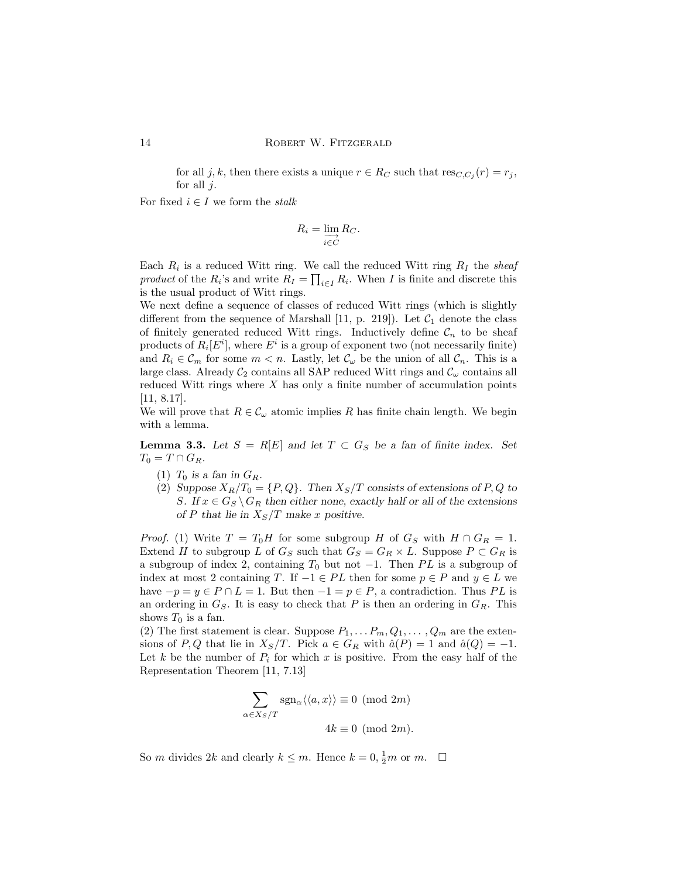for all j, k, then there exists a unique  $r \in R_C$  such that  $res_{C,C_j}(r) = r_j$ , for all  $i$ .

For fixed  $i \in I$  we form the *stalk* 

$$
R_i = \varinjlim_{i \in C} R_C.
$$

Each  $R_i$  is a reduced Witt ring. We call the reduced Witt ring  $R_I$  the sheaf product of the  $R_i$ 's and write  $R_I = \prod_{i \in I} R_i$ . When I is finite and discrete this is the usual product of Witt rings.

We next define a sequence of classes of reduced Witt rings (which is slightly different from the sequence of Marshall [11, p. 219]). Let  $C_1$  denote the class of finitely generated reduced Witt rings. Inductively define  $\mathcal{C}_n$  to be sheaf products of  $R_i[E^i]$ , where  $E^i$  is a group of exponent two (not necessarily finite) and  $R_i \in \mathcal{C}_m$  for some  $m < n$ . Lastly, let  $\mathcal{C}_{\omega}$  be the union of all  $\mathcal{C}_n$ . This is a large class. Already  $C_2$  contains all SAP reduced Witt rings and  $C_\omega$  contains all reduced Witt rings where X has only a finite number of accumulation points [11, 8.17].

We will prove that  $R \in \mathcal{C}_{\omega}$  atomic implies R has finite chain length. We begin with a lemma.

**Lemma 3.3.** Let  $S = R[E]$  and let  $T \subset G_S$  be a fan of finite index. Set  $T_0 = T \cap G_R$ .

- (1)  $T_0$  is a fan in  $G_R$ .
- (2) Suppose  $X_R/T_0 = \{P,Q\}$ . Then  $X_S/T$  consists of extensions of P, Q to S. If  $x \in G_S \backslash G_R$  then either none, exactly half or all of the extensions of P that lie in  $X_S/T$  make x positive.

*Proof.* (1) Write  $T = T_0H$  for some subgroup H of  $G_S$  with  $H \cap G_R = 1$ . Extend H to subgroup L of  $G_S$  such that  $G_S = G_R \times L$ . Suppose  $P \subset G_R$  is a subgroup of index 2, containing  $T_0$  but not  $-1$ . Then PL is a subgroup of index at most 2 containing T. If  $-1 \in PL$  then for some  $p \in P$  and  $y \in L$  we have  $-p = y \in P \cap L = 1$ . But then  $-1 = p \in P$ , a contradiction. Thus PL is an ordering in  $G_S$ . It is easy to check that P is then an ordering in  $G_R$ . This shows  $T_0$  is a fan.

(2) The first statement is clear. Suppose  $P_1, \ldots, P_m, Q_1, \ldots, Q_m$  are the extensions of P, Q that lie in  $X_S/T$ . Pick  $a \in G_R$  with  $\hat{a}(P) = 1$  and  $\hat{a}(Q) = -1$ . Let k be the number of  $P_i$  for which x is positive. From the easy half of the Representation Theorem [11, 7.13]

$$
\sum_{\alpha \in X_S/T} \operatorname{sgn}_\alpha \langle \langle a, x \rangle \rangle \equiv 0 \pmod{2m}
$$
  

$$
4k \equiv 0 \pmod{2m}.
$$

So *m* divides 2*k* and clearly  $k \leq m$ . Hence  $k = 0, \frac{1}{2}m$  or  $m$ .  $\Box$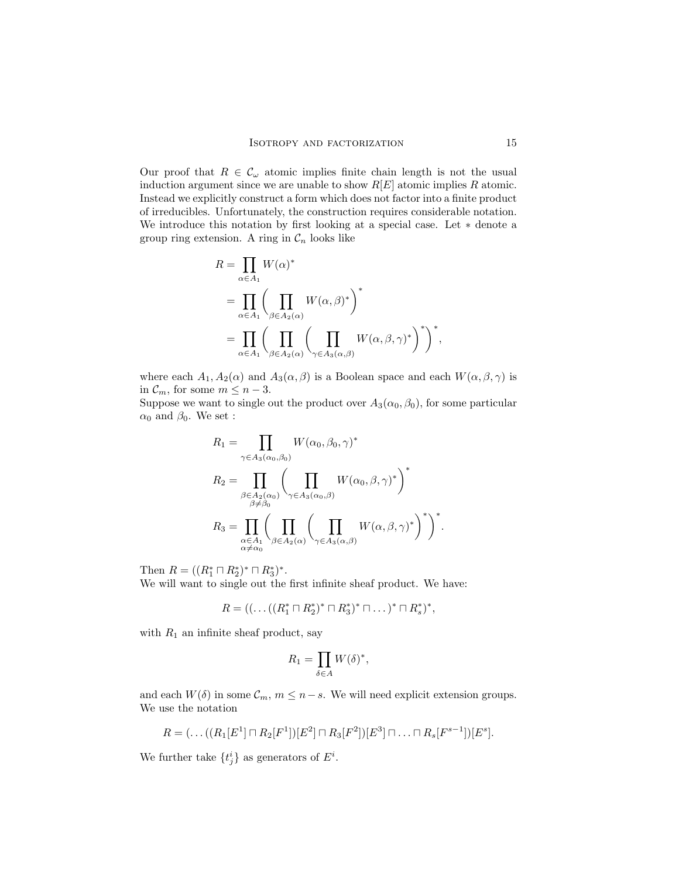Our proof that  $R \in \mathcal{C}_{\omega}$  atomic implies finite chain length is not the usual induction argument since we are unable to show  $R[E]$  atomic implies R atomic. Instead we explicitly construct a form which does not factor into a finite product of irreducibles. Unfortunately, the construction requires considerable notation. We introduce this notation by first looking at a special case. Let ∗ denote a group ring extension. A ring in  $\mathcal{C}_n$  looks like

$$
R = \prod_{\alpha \in A_1} W(\alpha)^*
$$
  
= 
$$
\prod_{\alpha \in A_1} \left( \prod_{\beta \in A_2(\alpha)} W(\alpha, \beta)^* \right)^*
$$
  
= 
$$
\prod_{\alpha \in A_1} \left( \prod_{\beta \in A_2(\alpha)} \left( \prod_{\gamma \in A_3(\alpha, \beta)} W(\alpha, \beta, \gamma)^* \right)^* \right)^*,
$$

where each  $A_1, A_2(\alpha)$  and  $A_3(\alpha, \beta)$  is a Boolean space and each  $W(\alpha, \beta, \gamma)$  is in  $\mathcal{C}_m$ , for some  $m \leq n-3$ .

Suppose we want to single out the product over  $A_3(\alpha_0, \beta_0)$ , for some particular  $\alpha_0$  and  $\beta_0$ . We set :

$$
R_1 = \prod_{\gamma \in A_3(\alpha_0, \beta_0)} W(\alpha_0, \beta_0, \gamma)^*
$$
  
\n
$$
R_2 = \prod_{\substack{\beta \in A_2(\alpha_0) \\ \beta \neq \beta_0}} \left( \prod_{\gamma \in A_3(\alpha_0, \beta)} W(\alpha_0, \beta, \gamma)^* \right)^*
$$
  
\n
$$
R_3 = \prod_{\substack{\alpha \in A_1 \\ \alpha \neq \alpha_0}} \left( \prod_{\beta \in A_2(\alpha)} \left( \prod_{\gamma \in A_3(\alpha, \beta)} W(\alpha, \beta, \gamma)^* \right)^* \right)^*.
$$

Then  $R = ((R_1^* \sqcap R_2^*)^* \sqcap R_3^*)^*$ .

We will want to single out the first infinite sheaf product. We have:

$$
R = ((\dots ((R_1^* \sqcap R_2^*)^* \sqcap R_3^*)^* \sqcap \dots)^* \sqcap R_s^*)^*,
$$

with  $R_1$  an infinite sheaf product, say

$$
R_1 = \prod_{\delta \in A} W(\delta)^*,
$$

and each  $W(\delta)$  in some  $\mathcal{C}_m$ ,  $m \leq n-s$ . We will need explicit extension groups. We use the notation

$$
R = (\dots((R_1[E^1] \sqcap R_2[F^1])[E^2] \sqcap R_3[F^2])[E^3] \sqcap \dots \sqcap R_s[F^{s-1}])[E^s].
$$

We further take  $\{t_j^i\}$  as generators of  $E^i$ .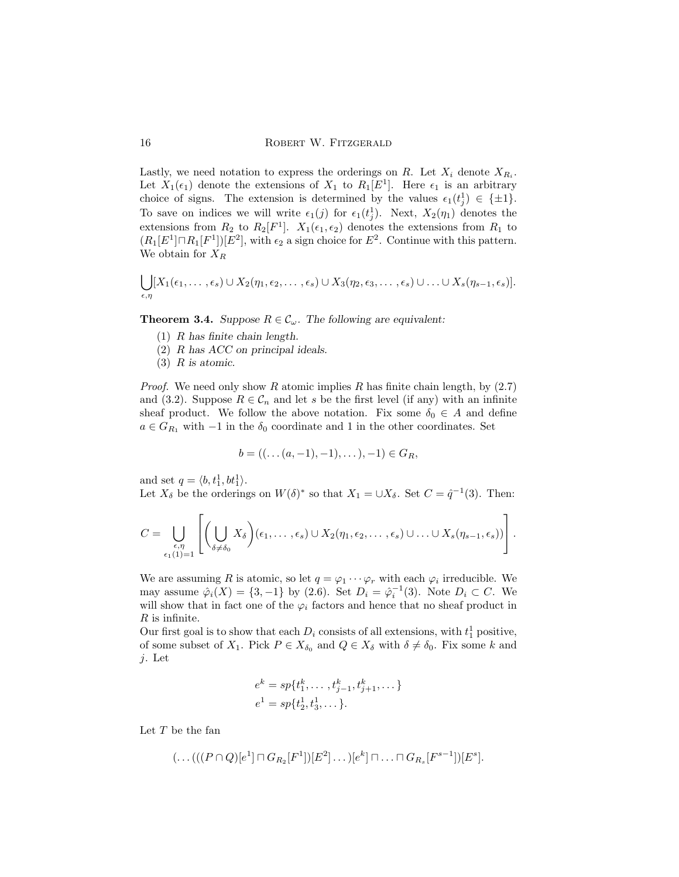Lastly, we need notation to express the orderings on R. Let  $X_i$  denote  $X_{R_i}$ . Let  $X_1(\epsilon_1)$  denote the extensions of  $X_1$  to  $R_1[E^1]$ . Here  $\epsilon_1$  is an arbitrary choice of signs. The extension is determined by the values  $\epsilon_1(t_j^1) \in \{\pm 1\}.$ To save on indices we will write  $\epsilon_1(j)$  for  $\epsilon_1(t_j)$ . Next,  $X_2(\eta_1)$  denotes the extensions from  $R_2$  to  $R_2[F^1]$ .  $X_1(\epsilon_1, \epsilon_2)$  denotes the extensions from  $R_1$  to  $(R_1[E^1] \sqcap R_1[F^1])[E^2]$ , with  $\epsilon_2$  a sign choice for  $E^2$ . Continue with this pattern. We obtain for  $X_R$ 

$$
\bigcup_{\epsilon,\eta}[X_1(\epsilon_1,\ldots,\epsilon_s)\cup X_2(\eta_1,\epsilon_2,\ldots,\epsilon_s)\cup X_3(\eta_2,\epsilon_3,\ldots,\epsilon_s)\cup \ldots \cup X_s(\eta_{s-1},\epsilon_s)].
$$

**Theorem 3.4.** Suppose  $R \in \mathcal{C}_{\omega}$ . The following are equivalent:

- (1) R has finite chain length.
- (2) R has ACC on principal ideals.
- (3) R is atomic.

*Proof.* We need only show R atomic implies R has finite chain length, by  $(2.7)$ and (3.2). Suppose  $R \in \mathcal{C}_n$  and let s be the first level (if any) with an infinite sheaf product. We follow the above notation. Fix some  $\delta_0 \in A$  and define  $a \in G_{R_1}$  with  $-1$  in the  $\delta_0$  coordinate and 1 in the other coordinates. Set

$$
b = ((\ldots (a, -1), -1), \ldots), -1) \in G_R,
$$

and set  $q = \langle b, t_1^1, bt_1^1 \rangle$ .

Let  $X_{\delta}$  be the orderings on  $W(\delta)^*$  so that  $X_1 = \cup X_{\delta}$ . Set  $C = \hat{q}^{-1}(3)$ . Then:

$$
C = \bigcup_{\substack{\epsilon,\eta \\ \epsilon_1(1)=1}} \left[ \left( \bigcup_{\delta \neq \delta_0} X_{\delta} \right) (\epsilon_1,\ldots,\epsilon_s) \cup X_2(\eta_1,\epsilon_2,\ldots,\epsilon_s) \cup \ldots \cup X_s(\eta_{s-1},\epsilon_s) \right].
$$

We are assuming R is atomic, so let  $q = \varphi_1 \cdots \varphi_r$  with each  $\varphi_i$  irreducible. We may assume  $\hat{\varphi}_i(X) = \{3, -1\}$  by  $(2.6)$ . Set  $D_i = \hat{\varphi}_i^{-1}(3)$ . Note  $D_i \subset C$ . We will show that in fact one of the  $\varphi_i$  factors and hence that no sheaf product in  $R$  is infinite.

Our first goal is to show that each  $D_i$  consists of all extensions, with  $t_1^1$  positive, of some subset of  $X_1$ . Pick  $P \in X_{\delta_0}$  and  $Q \in X_{\delta}$  with  $\delta \neq \delta_0$ . Fix some k and j. Let

$$
e^{k} = sp\{t_{1}^{k}, \dots, t_{j-1}^{k}, t_{j+1}^{k}, \dots\}
$$
  

$$
e^{1} = sp\{t_{2}^{1}, t_{3}^{1}, \dots\}.
$$

Let  $T$  be the fan

$$
(\ldots(((P \cap Q)[e^1] \sqcap G_{R_2}[F^1])[E^2] \ldots)[e^k] \sqcap \ldots \sqcap G_{R_s}[F^{s-1}])[E^s].
$$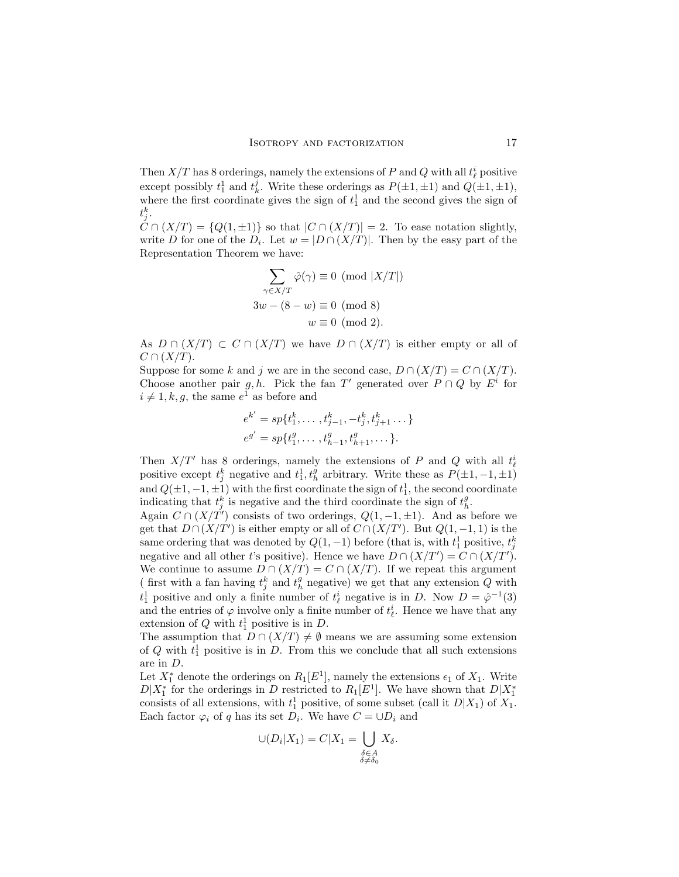Then  $X/T$  has 8 orderings, namely the extensions of P and Q with all  $t^i_\ell$  positive except possibly  $t_1^1$  and  $t_k^j$ . Write these orderings as  $P(\pm 1, \pm 1)$  and  $Q(\pm 1, \pm 1)$ , where the first coordinate gives the sign of  $t_1$  and the second gives the sign of  $t^k_j.$ 

 $C \cap (X/T) = \{Q(1, \pm 1)\}\$ so that  $|C \cap (X/T)| = 2$ . To ease notation slightly, write D for one of the  $D_i$ . Let  $w = |D \cap (X/T)|$ . Then by the easy part of the Representation Theorem we have:

$$
\sum_{\gamma \in X/T} \hat{\varphi}(\gamma) \equiv 0 \pmod{|X/T|}
$$
  
3w - (8 - w) \equiv 0 \pmod{8}  
w \equiv 0 \pmod{2}.

As  $D \cap (X/T) \subset C \cap (X/T)$  we have  $D \cap (X/T)$  is either empty or all of  $C \cap (X/T)$ .

Suppose for some k and j we are in the second case,  $D \cap (X/T) = C \cap (X/T)$ . Choose another pair g, h. Pick the fan T' generated over  $P \cap Q$  by  $E^i$  for  $i \neq 1, k, g$ , the same  $e^1$  as before and

$$
e^{k'} = sp\{t_1^k, \dots, t_{j-1}^k, -t_j^k, t_{j+1}^k, \dots\}
$$
  

$$
e^{g'} = sp\{t_1^g, \dots, t_{h-1}^g, t_{h+1}^g, \dots\}.
$$

Then  $X/T'$  has 8 orderings, namely the extensions of P and Q with all  $t_{\ell}^{i}$ positive except  $t_j^k$  negative and  $t_1^1, t_h^g$  arbitrary. Write these as  $P(\pm 1, -1, \pm 1)$ and  $Q(\pm 1, -1, \pm 1)$  with the first coordinate the sign of  $t_1^1$ , the second coordinate indicating that  $t_j^k$  is negative and the third coordinate the sign of  $t_h^g$ .

Again  $C \cap (X/T')$  consists of two orderings,  $Q(1, -1, \pm 1)$ . And as before we get that  $D \cap (X/T')$  is either empty or all of  $C \cap (X/T')$ . But  $Q(1, -1, 1)$  is the same ordering that was denoted by  $Q(1, -1)$  before (that is, with  $t_1^1$  positive,  $t_j^k$ ) negative and all other t's positive). Hence we have  $D \cap (X/T') = C \cap (X/T')$ . We continue to assume  $D \cap (X/T) = C \cap (X/T)$ . If we repeat this argument (first with a fan having  $t_j^k$  and  $t_h^g$  negative) we get that any extension  $Q$  with  $t_1^1$  positive and only a finite number of  $t_{\ell}$  negative is in D. Now  $D = \hat{\varphi}^{-1}(3)$ and the entries of  $\varphi$  involve only a finite number of  $t^i_\ell$ . Hence we have that any extension of  $Q$  with  $t_1$ <sup>1</sup> positive is in  $D$ .

The assumption that  $D \cap (X/T) \neq \emptyset$  means we are assuming some extension of  $Q$  with  $t_1$  positive is in  $D$ . From this we conclude that all such extensions are in D.

Let  $X_1^*$  denote the orderings on  $R_1[E^1]$ , namely the extensions  $\epsilon_1$  of  $X_1$ . Write  $D|X_1^*$  for the orderings in D restricted to  $R_1[E^1]$ . We have shown that  $D|X_1^*$ consists of all extensions, with  $t_1^1$  positive, of some subset (call it  $D|X_1$ ) of  $X_1$ . Each factor  $\varphi_i$  of q has its set  $D_i$ . We have  $C = \cup D_i$  and

$$
\bigcup (D_i | X_1) = C | X_1 = \bigcup_{\substack{\delta \in A \\ \delta \neq \delta_0}} X_{\delta}.
$$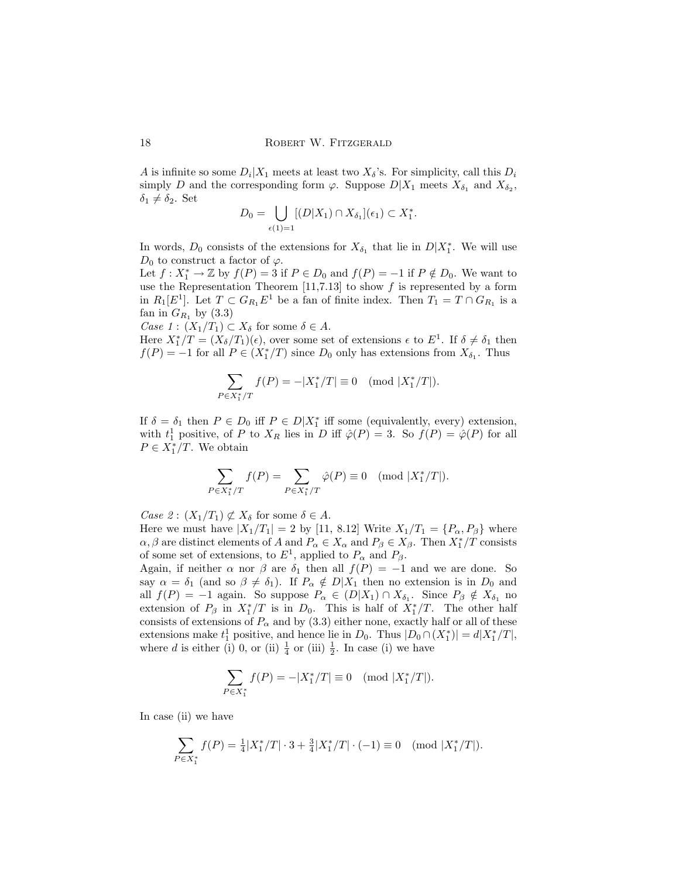A is infinite so some  $D_i|X_1$  meets at least two  $X_\delta$ 's. For simplicity, call this  $D_i$ simply D and the corresponding form  $\varphi$ . Suppose  $D|X_1$  meets  $X_{\delta_1}$  and  $X_{\delta_2}$ ,  $\delta_1 \neq \delta_2$ . Set  $\mathbf{r}$ 

$$
D_0 = \bigcup_{\epsilon(1)=1} [(D|X_1) \cap X_{\delta_1}](\epsilon_1) \subset X_1^*.
$$

In words,  $D_0$  consists of the extensions for  $X_{\delta_1}$  that lie in  $D|X_1^*$ . We will use  $D_0$  to construct a factor of  $\varphi$ .

Let  $f: X_1^* \to \mathbb{Z}$  by  $f(P) = 3$  if  $P \in D_0$  and  $f(P) = -1$  if  $P \notin D_0$ . We want to use the Representation Theorem  $[11,7.13]$  to show f is represented by a form in  $R_1[E^1]$ . Let  $T \subset G_{R_1}E^1$  be a fan of finite index. Then  $T_1 = T \cap G_{R_1}$  is a fan in  $G_{R_1}$  by  $(3.3)$ 

Case 1 :  $(X_1/T_1) \subset X_\delta$  for some  $\delta \in A$ .

Here  $X_1^*/T = (X_\delta/T_1)(\epsilon)$ , over some set of extensions  $\epsilon$  to  $E^1$ . If  $\delta \neq \delta_1$  then  $f(P) = -1$  for all  $P \in (X_1^*/T)$  since  $D_0$  only has extensions from  $X_{\delta_1}$ . Thus

$$
\sum_{P \in X_1^*/T} f(P) = -|X_1^*/T| \equiv 0 \pmod{|X_1^*/T|}.
$$

If  $\delta = \delta_1$  then  $P \in D_0$  iff  $P \in D|X_1^*$  iff some (equivalently, every) extension, with  $t_1^1$  positive, of P to  $X_R$  lies in D iff  $\hat{\varphi}(P) = 3$ . So  $f(P) = \hat{\varphi}(P)$  for all  $P \in X_1^*/T$ . We obtain

$$
\sum_{P \in X_1^* / T} f(P) = \sum_{P \in X_1^* / T} \hat{\varphi}(P) \equiv 0 \pmod{|X_1^* / T|}.
$$

Case  $2: (X_1/T_1) \not\subset X_\delta$  for some  $\delta \in A$ .

Here we must have  $|X_1/T_1| = 2$  by [11, 8.12] Write  $X_1/T_1 = \{P_{\alpha}, P_{\beta}\}\$  where  $\alpha, \beta$  are distinct elements of A and  $P_{\alpha} \in X_{\alpha}$  and  $P_{\beta} \in X_{\beta}$ . Then  $X_1^*/T$  consists of some set of extensions, to  $E^1$ , applied to  $P_\alpha$  and  $P_\beta$ .

Again, if neither  $\alpha$  nor  $\beta$  are  $\delta_1$  then all  $f(P) = -1$  and we are done. So say  $\alpha = \delta_1$  (and so  $\beta \neq \delta_1$ ). If  $P_\alpha \notin D|X_1$  then no extension is in  $D_0$  and all  $f(P) = -1$  again. So suppose  $P_{\alpha} \in (D|X_1) \cap X_{\delta_1}$ . Since  $P_{\beta} \notin X_{\delta_1}$  no extension of  $P_\beta$  in  $X_1^*/T$  is in  $D_0$ . This is half of  $X_1^*/T$ . The other half consists of extensions of  $P_\alpha$  and by (3.3) either none, exactly half or all of these extensions make  $t_1^1$  positive, and hence lie in  $D_0$ . Thus  $|D_0 \cap (X_1^*)| = d|X_1^*/T|$ , where d is either (i) 0, or (ii)  $\frac{1}{4}$  or (iii)  $\frac{1}{2}$ . In case (i) we have

$$
\sum_{P \in X_1^*} f(P) = -|X_1^*/T| \equiv 0 \pmod{|X_1^*/T|}.
$$

In case (ii) we have

$$
\sum_{P \in X_1^*} f(P) = \frac{1}{4} |X_1^*/T| \cdot 3 + \frac{3}{4} |X_1^*/T| \cdot (-1) \equiv 0 \pmod{|X_1^*/T|}.
$$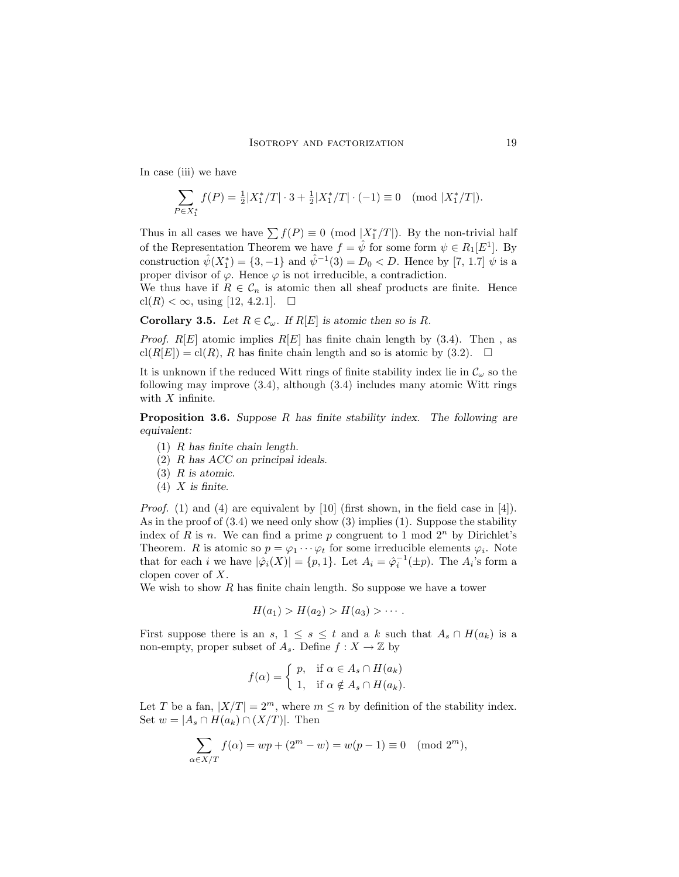In case (iii) we have

$$
\sum_{P \in X_1^*} f(P) = \frac{1}{2} |X_1^*/T| \cdot 3 + \frac{1}{2} |X_1^*/T| \cdot (-1) \equiv 0 \pmod{|X_1^*/T|}.
$$

Thus in all cases we have  $\sum f(P) \equiv 0 \pmod{|X_1^*/T|}$ . By the non-trivial half of the Representation Theorem we have  $f = \hat{\psi}$  for some form  $\psi \in R_1[E^1]$ . By construction  $\hat{\psi}(X_1^*) = \{3, -1\}$  and  $\hat{\psi}^{-1}(3) = D_0 < D$ . Hence by [7, 1.7]  $\hat{\psi}$  is a proper divisor of  $\varphi$ . Hence  $\varphi$  is not irreducible, a contradiction.

We thus have if  $R \in \mathcal{C}_n$  is atomic then all sheaf products are finite. Hence  $\text{cl}(R) < \infty$ , using [12, 4.2.1].  $\Box$ 

**Corollary 3.5.** Let  $R \in \mathcal{C}_{\omega}$ . If  $R[E]$  is atomic then so is R.

*Proof.*  $R[E]$  atomic implies  $R[E]$  has finite chain length by (3.4). Then, as  $\text{cl}(R[E]) = \text{cl}(R)$ , R has finite chain length and so is atomic by (3.2).  $\Box$ 

It is unknown if the reduced Witt rings of finite stability index lie in  $\mathcal{C}_{\omega}$  so the following may improve (3.4), although (3.4) includes many atomic Witt rings with  $X$  infinite.

**Proposition 3.6.** Suppose R has finite stability index. The following are equivalent:

- (1) R has finite chain length.
- (2) R has ACC on principal ideals.
- $(3)$  R is atomic.
- $(4)$  X is finite.

Proof. (1) and (4) are equivalent by [10] (first shown, in the field case in [4]). As in the proof of (3.4) we need only show (3) implies (1). Suppose the stability index of R is n. We can find a prime p congruent to 1 mod  $2^n$  by Dirichlet's Theorem. R is atomic so  $p = \varphi_1 \cdots \varphi_t$  for some irreducible elements  $\varphi_i$ . Note that for each *i* we have  $|\hat{\varphi}_i(X)| = \{p, 1\}$ . Let  $A_i = \hat{\varphi}_i^{-1}(\pm p)$ . The  $A_i$ 's form a clopen cover of X.

We wish to show  $R$  has finite chain length. So suppose we have a tower

$$
H(a_1) > H(a_2) > H(a_3) > \cdots.
$$

First suppose there is an s,  $1 \leq s \leq t$  and a k such that  $A_s \cap H(a_k)$  is a non-empty, proper subset of  $A_s$ . Define  $f: X \to \mathbb{Z}$  by

$$
f(\alpha) = \begin{cases} p, & \text{if } \alpha \in A_s \cap H(a_k) \\ 1, & \text{if } \alpha \notin A_s \cap H(a_k). \end{cases}
$$

Let T be a fan,  $|X/T| = 2^m$ , where  $m \le n$  by definition of the stability index. Set  $w = |A_s \cap H(a_k) \cap (X/T)|$ . Then

$$
\sum_{\alpha \in X/T} f(\alpha) = wp + (2^m - w) = w(p - 1) \equiv 0 \pmod{2^m},
$$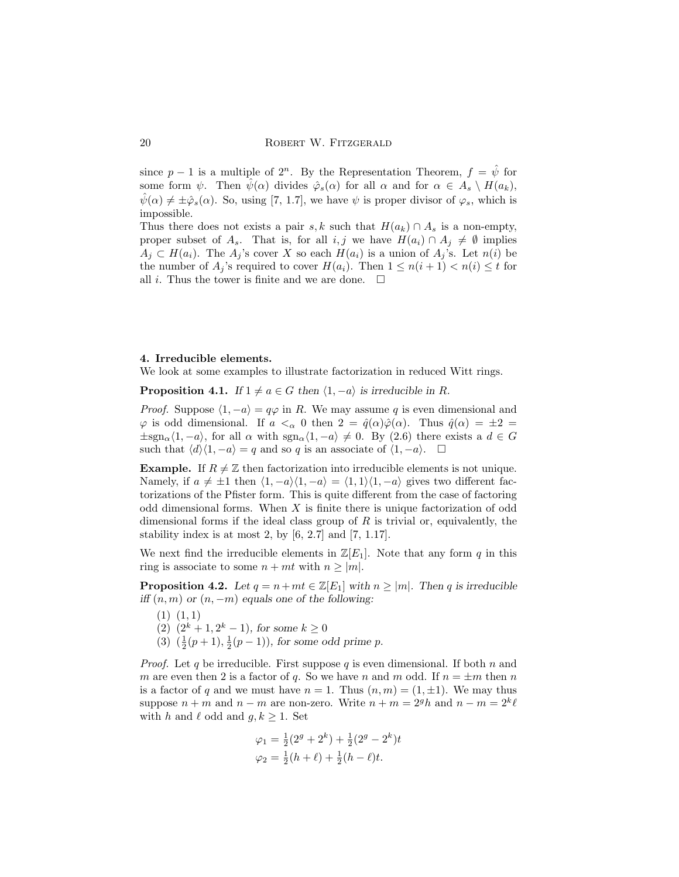since  $p-1$  is a multiple of  $2^n$ . By the Representation Theorem,  $f = \hat{\psi}$  for some form  $\psi$ . Then  $\psi(\alpha)$  divides  $\hat{\varphi}_s(\alpha)$  for all  $\alpha$  and for  $\alpha \in A_s \setminus H(a_k)$ ,  $\hat{\psi}(\alpha) \neq \pm \hat{\varphi}_s(\alpha)$ . So, using [7, 1.7], we have  $\psi$  is proper divisor of  $\varphi_s$ , which is impossible.

Thus there does not exists a pair s, k such that  $H(a_k) \cap A_s$  is a non-empty, proper subset of  $A_s$ . That is, for all  $i, j$  we have  $H(a_i) \cap A_j \neq \emptyset$  implies  $A_j \subset H(a_i)$ . The  $A_j$ 's cover X so each  $H(a_i)$  is a union of  $A_j$ 's. Let  $n(i)$  be the number of  $A_j$ 's required to cover  $H(a_i)$ . Then  $1 \leq n(i+1) < n(i) \leq t$  for all *i*. Thus the tower is finite and we are done.  $\Box$ 

#### 4. Irreducible elements.

We look at some examples to illustrate factorization in reduced Witt rings.

**Proposition 4.1.** If  $1 \neq a \in G$  then  $\langle 1, -a \rangle$  is irreducible in R.

*Proof.* Suppose  $\langle 1, -a \rangle = q\varphi$  in R. We may assume q is even dimensional and  $\varphi$  is odd dimensional. If  $a <_{\alpha} 0$  then  $2 = \hat{q}(\alpha)\hat{\varphi}(\alpha)$ . Thus  $\hat{q}(\alpha) = \pm 2 =$  $\pm sgn_{\alpha}(1, -a)$ , for all  $\alpha$  with  $sgn_{\alpha}(1, -a) \neq 0$ . By (2.6) there exists a  $d \in G$ such that  $\langle d \rangle \langle 1, -a \rangle = q$  and so q is an associate of  $\langle 1, -a \rangle$ .  $\Box$ 

**Example.** If  $R \neq \mathbb{Z}$  then factorization into irreducible elements is not unique. Namely, if  $a \neq \pm 1$  then  $\langle 1, -a \rangle \langle 1, -a \rangle = \langle 1, 1 \rangle \langle 1, -a \rangle$  gives two different factorizations of the Pfister form. This is quite different from the case of factoring odd dimensional forms. When  $X$  is finite there is unique factorization of odd dimensional forms if the ideal class group of  $R$  is trivial or, equivalently, the stability index is at most 2, by  $[6, 2.7]$  and  $[7, 1.17]$ .

We next find the irreducible elements in  $\mathbb{Z}[E_1]$ . Note that any form q in this ring is associate to some  $n + mt$  with  $n \ge |m|$ .

**Proposition 4.2.** Let  $q = n + mt \in \mathbb{Z}[E_1]$  with  $n \ge |m|$ . Then q is irreducible iff  $(n, m)$  or  $(n, -m)$  equals one of the following:

- $(1)$   $(1, 1)$
- (2)  $(2^k + 1, 2^k 1)$ , for some  $k \ge 0$
- (3)  $(\frac{1}{2}(p+1), \frac{1}{2}(p-1))$ , for some odd prime p.

*Proof.* Let q be irreducible. First suppose q is even dimensional. If both n and m are even then 2 is a factor of q. So we have n and m odd. If  $n = \pm m$  then n is a factor of q and we must have  $n = 1$ . Thus  $(n, m) = (1, \pm 1)$ . We may thus suppose  $n + m$  and  $n - m$  are non-zero. Write  $n + m = 2<sup>g</sup> h$  and  $n - m = 2<sup>k</sup> l$ with h and  $\ell$  odd and  $g, k \geq 1$ . Set

$$
\varphi_1 = \frac{1}{2}(2^g + 2^k) + \frac{1}{2}(2^g - 2^k)t
$$
  

$$
\varphi_2 = \frac{1}{2}(h + \ell) + \frac{1}{2}(h - \ell)t.
$$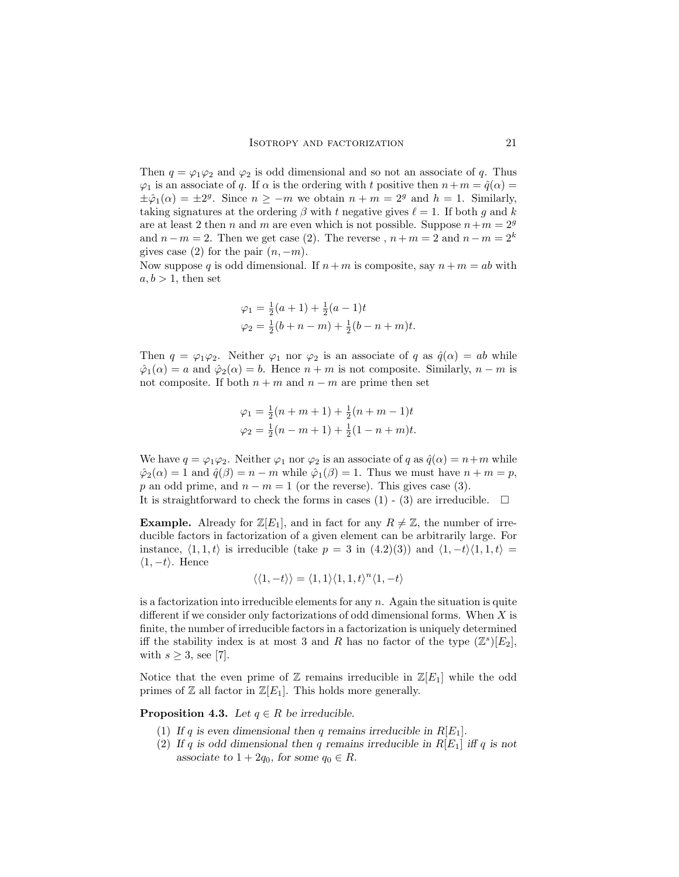Then  $q = \varphi_1 \varphi_2$  and  $\varphi_2$  is odd dimensional and so not an associate of q. Thus  $\varphi_1$  is an associate of q. If  $\alpha$  is the ordering with t positive then  $n+m = \hat{q}(\alpha)$  $\pm \hat{\varphi}_1(\alpha) = \pm 2^g$ . Since  $n \ge -m$  we obtain  $n + m = 2^g$  and  $h = 1$ . Similarly, taking signatures at the ordering  $\beta$  with t negative gives  $\ell = 1$ . If both g and k are at least 2 then n and m are even which is not possible. Suppose  $n+m=2<sup>g</sup>$ and  $n-m=2$ . Then we get case (2). The reverse ,  $n+m=2$  and  $n-m=2^k$ gives case (2) for the pair  $(n, -m)$ .

Now suppose q is odd dimensional. If  $n + m$  is composite, say  $n + m = ab$  with  $a, b > 1$ , then set

$$
\varphi_1 = \frac{1}{2}(a+1) + \frac{1}{2}(a-1)t
$$
  

$$
\varphi_2 = \frac{1}{2}(b+n-m) + \frac{1}{2}(b-n+m)t.
$$

Then  $q = \varphi_1 \varphi_2$ . Neither  $\varphi_1$  nor  $\varphi_2$  is an associate of q as  $\hat{q}(\alpha) = ab$  while  $\hat{\varphi}_1(\alpha) = a$  and  $\hat{\varphi}_2(\alpha) = b$ . Hence  $n + m$  is not composite. Similarly,  $n - m$  is not composite. If both  $n + m$  and  $n - m$  are prime then set

$$
\varphi_1 = \frac{1}{2}(n+m+1) + \frac{1}{2}(n+m-1)t
$$
  

$$
\varphi_2 = \frac{1}{2}(n-m+1) + \frac{1}{2}(1-n+m)t.
$$

We have  $q = \varphi_1 \varphi_2$ . Neither  $\varphi_1$  nor  $\varphi_2$  is an associate of q as  $\hat{q}(\alpha) = n+m$  while  $\hat{\varphi}_2(\alpha) = 1$  and  $\hat{q}(\beta) = n - m$  while  $\hat{\varphi}_1(\beta) = 1$ . Thus we must have  $n + m = p$ , p an odd prime, and  $n - m = 1$  (or the reverse). This gives case (3). It is straightforward to check the forms in cases (1) - (3) are irreducible.  $\Box$ 

**Example.** Already for  $\mathbb{Z}[E_1]$ , and in fact for any  $R \neq \mathbb{Z}$ , the number of irreducible factors in factorization of a given element can be arbitrarily large. For instance,  $\langle 1, 1, t \rangle$  is irreducible (take  $p = 3$  in  $(4.2)(3)$ ) and  $\langle 1, -t \rangle \langle 1, 1, t \rangle =$  $\langle 1, -t \rangle$ . Hence

$$
\langle \langle 1, -t \rangle \rangle = \langle 1, 1 \rangle \langle 1, 1, t \rangle^{n} \langle 1, -t \rangle
$$

is a factorization into irreducible elements for any  $n$ . Again the situation is quite different if we consider only factorizations of odd dimensional forms. When  $X$  is finite, the number of irreducible factors in a factorization is uniquely determined iff the stability index is at most 3 and R has no factor of the type  $(\mathbb{Z}^s)[E_2]$ , with  $s \geq 3$ , see [7].

Notice that the even prime of  $\mathbb Z$  remains irreducible in  $\mathbb Z[E_1]$  while the odd primes of  $\mathbb Z$  all factor in  $\mathbb Z[E_1]$ . This holds more generally.

**Proposition 4.3.** Let  $q \in R$  be irreducible.

- (1) If q is even dimensional then q remains irreducible in  $R[E_1]$ .
- (2) If q is odd dimensional then q remains irreducible in  $R[E_1]$  iff q is not associate to  $1 + 2q_0$ , for some  $q_0 \in R$ .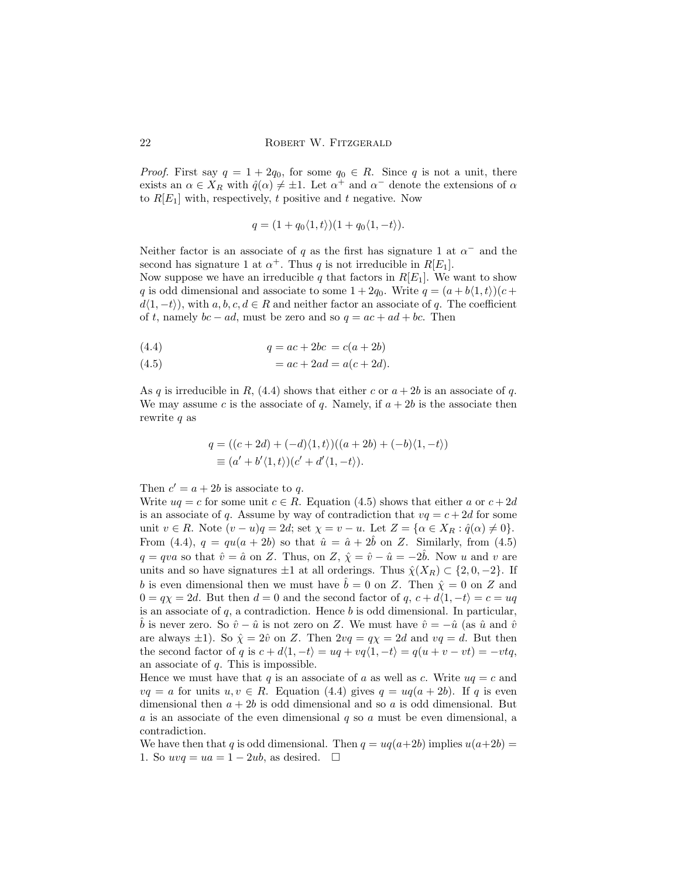*Proof.* First say  $q = 1 + 2q_0$ , for some  $q_0 \in R$ . Since q is not a unit, there exists an  $\alpha \in X_R$  with  $\hat{q}(\alpha) \neq \pm 1$ . Let  $\alpha^+$  and  $\alpha^-$  denote the extensions of  $\alpha$ to  $R[E_1]$  with, respectively, t positive and t negative. Now

$$
q = (1 + q_0 \langle 1, t \rangle)(1 + q_0 \langle 1, -t \rangle).
$$

Neither factor is an associate of q as the first has signature 1 at  $\alpha^-$  and the second has signature 1 at  $\alpha^+$ . Thus q is not irreducible in  $R[E_1]$ .

Now suppose we have an irreducible q that factors in  $R[E_1]$ . We want to show q is odd dimensional and associate to some  $1 + 2q_0$ . Write  $q = (a + b(1, t))(c +$  $d(1, -t)$ , with  $a, b, c, d \in R$  and neither factor an associate of q. The coefficient of t, namely  $bc - ad$ , must be zero and so  $q = ac + ad + bc$ . Then

(4.4) 
$$
q = ac + 2bc = c(a + 2b)
$$

(4.5) 
$$
= ac + 2ad = a(c + 2d).
$$

As q is irreducible in R,  $(4.4)$  shows that either c or  $a + 2b$  is an associate of q. We may assume c is the associate of q. Namely, if  $a + 2b$  is the associate then rewrite q as

$$
q = ((c+2d) + (-d)\langle 1, t \rangle)((a+2b) + (-b)\langle 1, -t \rangle)
$$
  

$$
\equiv (a' + b'\langle 1, t \rangle)(c' + d'\langle 1, -t \rangle).
$$

Then  $c' = a + 2b$  is associate to q.

Write  $uq = c$  for some unit  $c \in R$ . Equation (4.5) shows that either a or  $c + 2d$ is an associate of q. Assume by way of contradiction that  $vq = c + 2d$  for some unit  $v \in R$ . Note  $(v - u)q = 2d$ ; set  $\chi = v - u$ . Let  $Z = {\alpha \in X_R : \hat{q}(\alpha) \neq 0}.$ From (4.4),  $q = qu(a + 2b)$  so that  $\hat{u} = \hat{a} + 2\hat{b}$  on Z. Similarly, from (4.5)  $q = qv \alpha$  so that  $\hat{v} = \hat{a}$  on Z. Thus, on Z,  $\hat{\chi} = \hat{v} - \hat{u} = -2\hat{b}$ . Now u and v are units and so have signatures  $\pm 1$  at all orderings. Thus  $\hat{\chi}(X_R) \subset \{2, 0, -2\}$ . If b is even dimensional then we must have  $\tilde{b} = 0$  on Z. Then  $\hat{\chi} = 0$  on Z and  $0 = q\chi = 2d$ . But then  $d = 0$  and the second factor of q,  $c + d\langle 1, -t \rangle = c = uq$ is an associate of  $q$ , a contradiction. Hence  $b$  is odd dimensional. In particular,  $\hat{b}$  is never zero. So  $\hat{v} - \hat{u}$  is not zero on Z. We must have  $\hat{v} = -\hat{u}$  (as  $\hat{u}$  and  $\hat{v}$ ) are always  $\pm 1$ ). So  $\hat{\chi} = 2\hat{v}$  on Z. Then  $2vq = q\chi = 2d$  and  $vq = d$ . But then the second factor of q is  $c + d\langle 1, -t \rangle = uq + vq\langle 1, -t \rangle = q(u + v - vt) = -vtq$ , an associate of  $q$ . This is impossible.

Hence we must have that q is an associate of a as well as c. Write  $uq = c$  and  $vq = a$  for units  $u, v \in R$ . Equation (4.4) gives  $q = uq(a + 2b)$ . If q is even dimensional then  $a + 2b$  is odd dimensional and so a is odd dimensional. But  $a$  is an associate of the even dimensional  $q$  so  $a$  must be even dimensional, a contradiction.

We have then that q is odd dimensional. Then  $q = uq(a+2b)$  implies  $u(a+2b)$  = 1. So  $uvq = ua = 1 - 2ub$ , as desired.  $\Box$